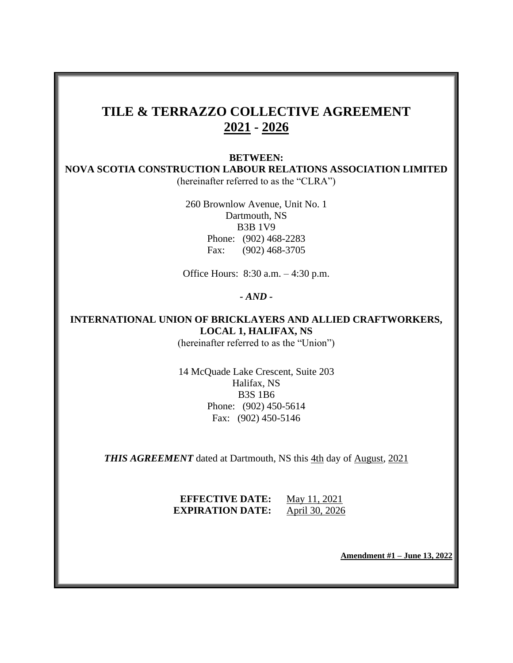# **TILE & TERRAZZO COLLECTIVE AGREEMENT 2021 - 2026**

## **BETWEEN:**

**NOVA SCOTIA CONSTRUCTION LABOUR RELATIONS ASSOCIATION LIMITED** (hereinafter referred to as the "CLRA")

> 260 Brownlow Avenue, Unit No. 1 Dartmouth, NS B3B 1V9 Phone: (902) 468-2283 Fax: (902) 468-3705

Office Hours: 8:30 a.m. – 4:30 p.m.

### *- AND -*

# **INTERNATIONAL UNION OF BRICKLAYERS AND ALLIED CRAFTWORKERS, LOCAL 1, HALIFAX, NS**

(hereinafter referred to as the "Union")

14 McQuade Lake Crescent, Suite 203 Halifax, NS B3S 1B6 Phone: (902) 450-5614 Fax: (902) 450-5146

*THIS AGREEMENT* dated at Dartmouth, NS this 4th day of August, 2021

## **EFFECTIVE DATE:** May 11, 2021 **EXPIRATION DATE:** April 30, 2026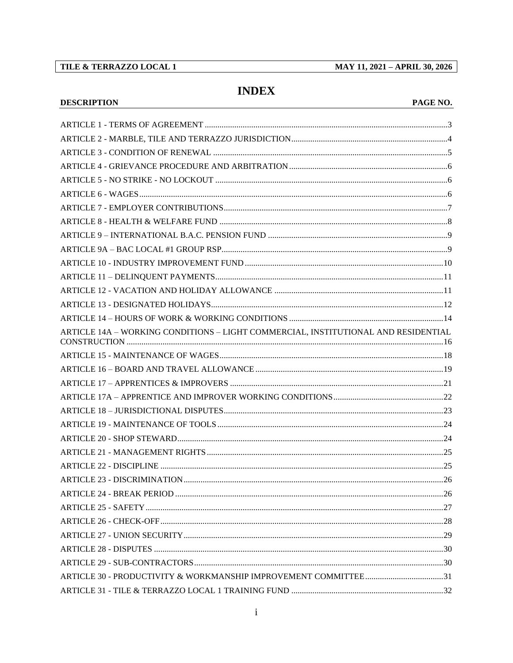## TILE & TERRAZZO LOCAL 1

**DESCRIPTION** 

MAY 11, 2021 - APRIL 30, 2026

# **INDEX**

## PAGE NO.

| ARTICLE 14A - WORKING CONDITIONS - LIGHT COMMERCIAL, INSTITUTIONAL AND RESIDENTIAL |  |
|------------------------------------------------------------------------------------|--|
|                                                                                    |  |
|                                                                                    |  |
|                                                                                    |  |
|                                                                                    |  |
|                                                                                    |  |
|                                                                                    |  |
|                                                                                    |  |
|                                                                                    |  |
|                                                                                    |  |
|                                                                                    |  |
|                                                                                    |  |
|                                                                                    |  |
|                                                                                    |  |
|                                                                                    |  |
|                                                                                    |  |
|                                                                                    |  |
|                                                                                    |  |
|                                                                                    |  |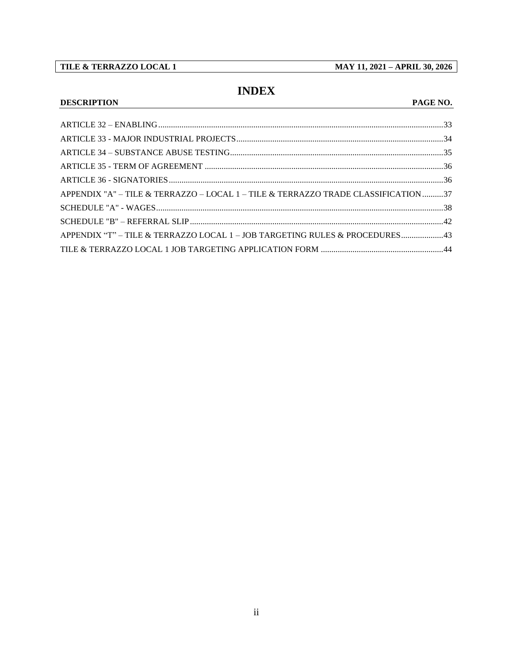## TILE & TERRAZZO LOCAL 1

**DESCRIPTION** 

MAY 11, 2021 - APRIL 30, 2026

# **INDEX**

## PAGE NO.

| APPENDIX "A" - TILE & TERRAZZO - LOCAL 1 - TILE & TERRAZZO TRADE CLASSIFICATION37 |  |
|-----------------------------------------------------------------------------------|--|
|                                                                                   |  |
|                                                                                   |  |
| APPENDIX "T" - TILE & TERRAZZO LOCAL 1 - JOB TARGETING RULES & PROCEDURES 43      |  |
|                                                                                   |  |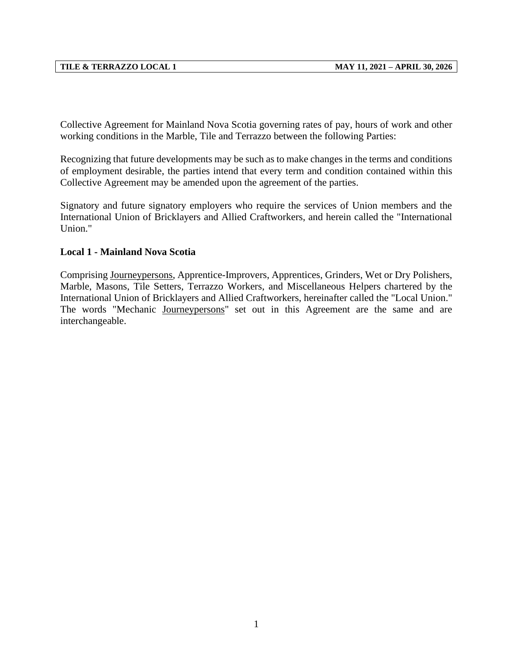Collective Agreement for Mainland Nova Scotia governing rates of pay, hours of work and other working conditions in the Marble, Tile and Terrazzo between the following Parties:

Recognizing that future developments may be such as to make changes in the terms and conditions of employment desirable, the parties intend that every term and condition contained within this Collective Agreement may be amended upon the agreement of the parties.

Signatory and future signatory employers who require the services of Union members and the International Union of Bricklayers and Allied Craftworkers, and herein called the "International Union."

## **Local 1 - Mainland Nova Scotia**

Comprising Journeypersons, Apprentice-Improvers, Apprentices, Grinders, Wet or Dry Polishers, Marble, Masons, Tile Setters, Terrazzo Workers, and Miscellaneous Helpers chartered by the International Union of Bricklayers and Allied Craftworkers, hereinafter called the "Local Union." The words "Mechanic Journeypersons" set out in this Agreement are the same and are interchangeable.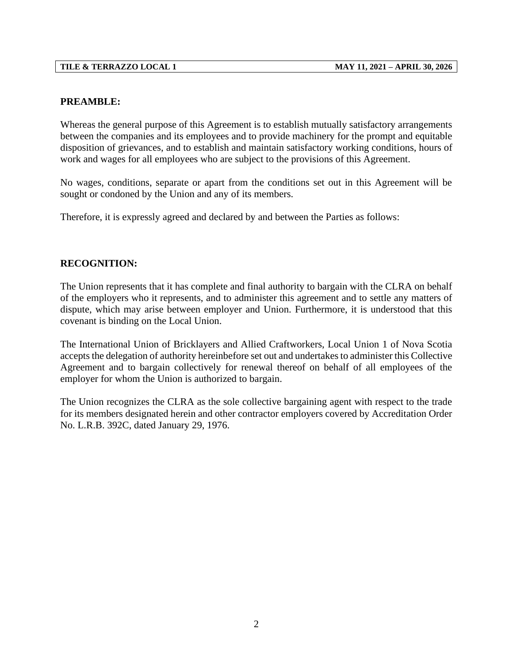## **PREAMBLE:**

Whereas the general purpose of this Agreement is to establish mutually satisfactory arrangements between the companies and its employees and to provide machinery for the prompt and equitable disposition of grievances, and to establish and maintain satisfactory working conditions, hours of work and wages for all employees who are subject to the provisions of this Agreement.

No wages, conditions, separate or apart from the conditions set out in this Agreement will be sought or condoned by the Union and any of its members.

Therefore, it is expressly agreed and declared by and between the Parties as follows:

## **RECOGNITION:**

The Union represents that it has complete and final authority to bargain with the CLRA on behalf of the employers who it represents, and to administer this agreement and to settle any matters of dispute, which may arise between employer and Union. Furthermore, it is understood that this covenant is binding on the Local Union.

The International Union of Bricklayers and Allied Craftworkers, Local Union 1 of Nova Scotia accepts the delegation of authority hereinbefore set out and undertakes to administer this Collective Agreement and to bargain collectively for renewal thereof on behalf of all employees of the employer for whom the Union is authorized to bargain.

The Union recognizes the CLRA as the sole collective bargaining agent with respect to the trade for its members designated herein and other contractor employers covered by Accreditation Order No. L.R.B. 392C, dated January 29, 1976.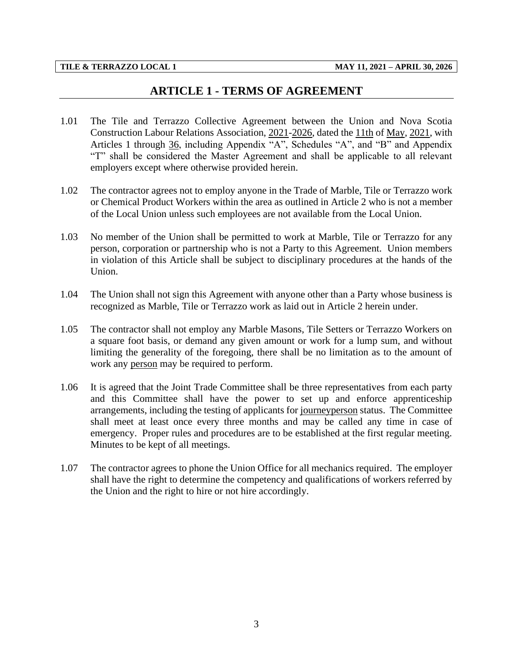# **ARTICLE 1 - TERMS OF AGREEMENT**

- <span id="page-5-0"></span>1.01 The Tile and Terrazzo Collective Agreement between the Union and Nova Scotia Construction Labour Relations Association, 2021-2026, dated the 11th of May, 2021, with Articles 1 through 36, including Appendix "A", Schedules "A", and "B" and Appendix "T" shall be considered the Master Agreement and shall be applicable to all relevant employers except where otherwise provided herein.
- 1.02 The contractor agrees not to employ anyone in the Trade of Marble, Tile or Terrazzo work or Chemical Product Workers within the area as outlined in Article 2 who is not a member of the Local Union unless such employees are not available from the Local Union.
- 1.03 No member of the Union shall be permitted to work at Marble, Tile or Terrazzo for any person, corporation or partnership who is not a Party to this Agreement. Union members in violation of this Article shall be subject to disciplinary procedures at the hands of the Union.
- 1.04 The Union shall not sign this Agreement with anyone other than a Party whose business is recognized as Marble, Tile or Terrazzo work as laid out in Article 2 herein under.
- 1.05 The contractor shall not employ any Marble Masons, Tile Setters or Terrazzo Workers on a square foot basis, or demand any given amount or work for a lump sum, and without limiting the generality of the foregoing, there shall be no limitation as to the amount of work any person may be required to perform.
- 1.06 It is agreed that the Joint Trade Committee shall be three representatives from each party and this Committee shall have the power to set up and enforce apprenticeship arrangements, including the testing of applicants for journeyperson status. The Committee shall meet at least once every three months and may be called any time in case of emergency. Proper rules and procedures are to be established at the first regular meeting. Minutes to be kept of all meetings.
- 1.07 The contractor agrees to phone the Union Office for all mechanics required. The employer shall have the right to determine the competency and qualifications of workers referred by the Union and the right to hire or not hire accordingly.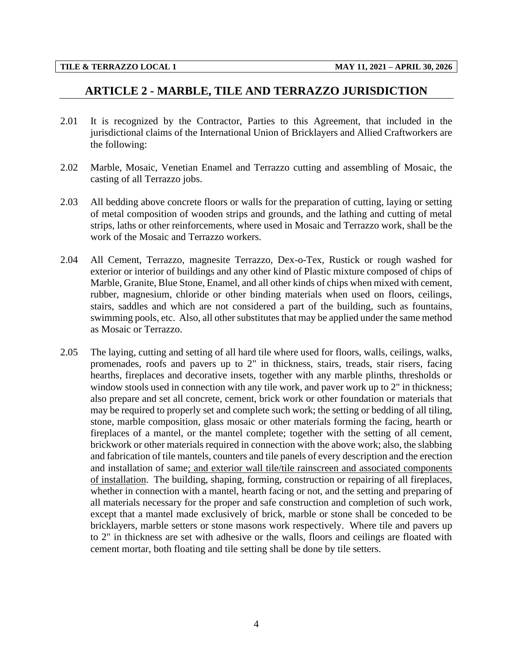# <span id="page-6-0"></span>**ARTICLE 2 - MARBLE, TILE AND TERRAZZO JURISDICTION**

- 2.01 It is recognized by the Contractor, Parties to this Agreement, that included in the jurisdictional claims of the International Union of Bricklayers and Allied Craftworkers are the following:
- 2.02 Marble, Mosaic, Venetian Enamel and Terrazzo cutting and assembling of Mosaic, the casting of all Terrazzo jobs.
- 2.03 All bedding above concrete floors or walls for the preparation of cutting, laying or setting of metal composition of wooden strips and grounds, and the lathing and cutting of metal strips, laths or other reinforcements, where used in Mosaic and Terrazzo work, shall be the work of the Mosaic and Terrazzo workers.
- 2.04 All Cement, Terrazzo, magnesite Terrazzo, Dex-o-Tex, Rustick or rough washed for exterior or interior of buildings and any other kind of Plastic mixture composed of chips of Marble, Granite, Blue Stone, Enamel, and all other kinds of chips when mixed with cement, rubber, magnesium, chloride or other binding materials when used on floors, ceilings, stairs, saddles and which are not considered a part of the building, such as fountains, swimming pools, etc. Also, all other substitutes that may be applied under the same method as Mosaic or Terrazzo.
- 2.05 The laying, cutting and setting of all hard tile where used for floors, walls, ceilings, walks, promenades, roofs and pavers up to 2" in thickness, stairs, treads, stair risers, facing hearths, fireplaces and decorative insets, together with any marble plinths, thresholds or window stools used in connection with any tile work, and paver work up to 2" in thickness; also prepare and set all concrete, cement, brick work or other foundation or materials that may be required to properly set and complete such work; the setting or bedding of all tiling, stone, marble composition, glass mosaic or other materials forming the facing, hearth or fireplaces of a mantel, or the mantel complete; together with the setting of all cement, brickwork or other materials required in connection with the above work; also, the slabbing and fabrication of tile mantels, counters and tile panels of every description and the erection and installation of same; and exterior wall tile/tile rainscreen and associated components of installation. The building, shaping, forming, construction or repairing of all fireplaces, whether in connection with a mantel, hearth facing or not, and the setting and preparing of all materials necessary for the proper and safe construction and completion of such work, except that a mantel made exclusively of brick, marble or stone shall be conceded to be bricklayers, marble setters or stone masons work respectively. Where tile and pavers up to 2" in thickness are set with adhesive or the walls, floors and ceilings are floated with cement mortar, both floating and tile setting shall be done by tile setters.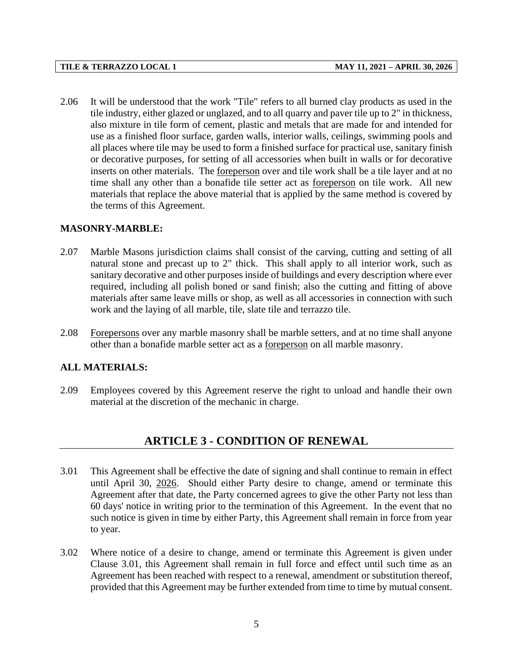2.06 It will be understood that the work "Tile" refers to all burned clay products as used in the tile industry, either glazed or unglazed, and to all quarry and paver tile up to 2" in thickness, also mixture in tile form of cement, plastic and metals that are made for and intended for use as a finished floor surface, garden walls, interior walls, ceilings, swimming pools and all places where tile may be used to form a finished surface for practical use, sanitary finish or decorative purposes, for setting of all accessories when built in walls or for decorative inserts on other materials. The foreperson over and tile work shall be a tile layer and at no time shall any other than a bonafide tile setter act as foreperson on tile work. All new materials that replace the above material that is applied by the same method is covered by the terms of this Agreement.

### **MASONRY-MARBLE:**

- 2.07 Marble Masons jurisdiction claims shall consist of the carving, cutting and setting of all natural stone and precast up to 2" thick. This shall apply to all interior work, such as sanitary decorative and other purposes inside of buildings and every description where ever required, including all polish boned or sand finish; also the cutting and fitting of above materials after same leave mills or shop, as well as all accessories in connection with such work and the laying of all marble, tile, slate tile and terrazzo tile.
- 2.08 Forepersons over any marble masonry shall be marble setters, and at no time shall anyone other than a bonafide marble setter act as a foreperson on all marble masonry.

## **ALL MATERIALS:**

<span id="page-7-0"></span>2.09 Employees covered by this Agreement reserve the right to unload and handle their own material at the discretion of the mechanic in charge.

# **ARTICLE 3 - CONDITION OF RENEWAL**

- 3.01 This Agreement shall be effective the date of signing and shall continue to remain in effect until April 30, 2026. Should either Party desire to change, amend or terminate this Agreement after that date, the Party concerned agrees to give the other Party not less than 60 days' notice in writing prior to the termination of this Agreement. In the event that no such notice is given in time by either Party, this Agreement shall remain in force from year to year.
- 3.02 Where notice of a desire to change, amend or terminate this Agreement is given under Clause 3.01, this Agreement shall remain in full force and effect until such time as an Agreement has been reached with respect to a renewal, amendment or substitution thereof, provided that this Agreement may be further extended from time to time by mutual consent.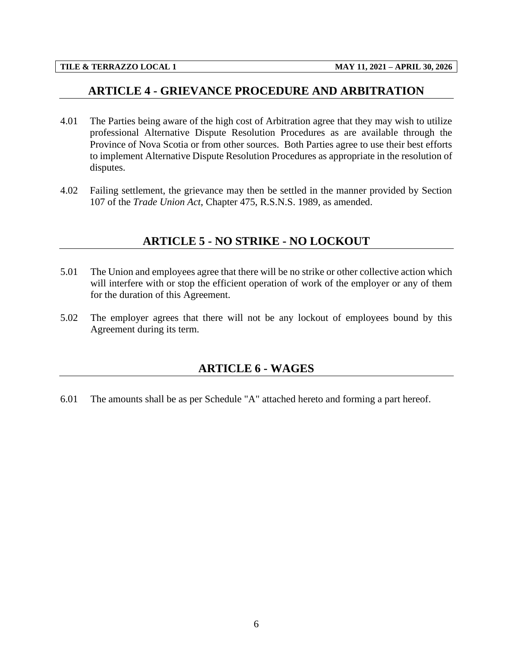## <span id="page-8-0"></span>**ARTICLE 4 - GRIEVANCE PROCEDURE AND ARBITRATION**

- 4.01 The Parties being aware of the high cost of Arbitration agree that they may wish to utilize professional Alternative Dispute Resolution Procedures as are available through the Province of Nova Scotia or from other sources. Both Parties agree to use their best efforts to implement Alternative Dispute Resolution Procedures as appropriate in the resolution of disputes.
- <span id="page-8-1"></span>4.02 Failing settlement, the grievance may then be settled in the manner provided by Section 107 of the *Trade Union Act*, Chapter 475, R.S.N.S. 1989, as amended.

## **ARTICLE 5 - NO STRIKE - NO LOCKOUT**

- 5.01 The Union and employees agree that there will be no strike or other collective action which will interfere with or stop the efficient operation of work of the employer or any of them for the duration of this Agreement.
- <span id="page-8-2"></span>5.02 The employer agrees that there will not be any lockout of employees bound by this Agreement during its term.

# **ARTICLE 6 - WAGES**

6.01 The amounts shall be as per Schedule "A" attached hereto and forming a part hereof.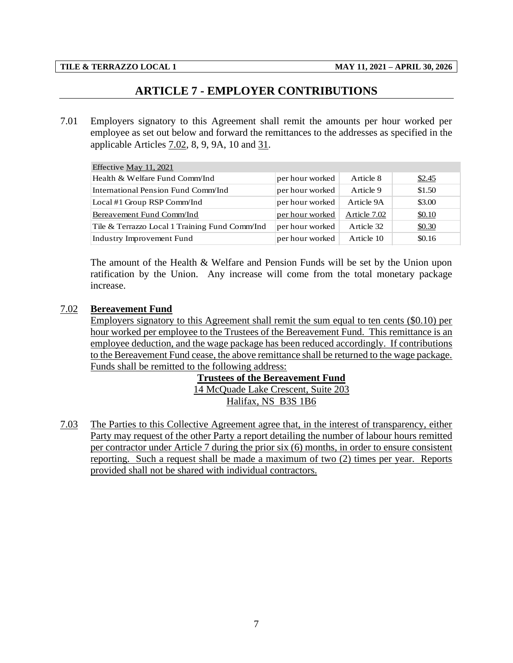# **ARTICLE 7 - EMPLOYER CONTRIBUTIONS**

<span id="page-9-0"></span>7.01 Employers signatory to this Agreement shall remit the amounts per hour worked per employee as set out below and forward the remittances to the addresses as specified in the applicable Articles 7.02, 8, 9, 9A, 10 and 31.

| Effective May 11, 2021                         |                 |              |        |
|------------------------------------------------|-----------------|--------------|--------|
| Health & Welfare Fund Comm/Ind                 | per hour worked | Article 8    | \$2.45 |
| International Pension Fund Comm/Ind            | per hour worked | Article 9    | \$1.50 |
| Local #1 Group RSP Comm/Ind                    | per hour worked | Article 9A   | \$3.00 |
| Bereavement Fund Comm/Ind                      | per hour worked | Article 7.02 | \$0.10 |
| Tile & Terrazzo Local 1 Training Fund Comm/Ind | per hour worked | Article 32   | \$0.30 |
| Industry Improvement Fund                      | per hour worked | Article 10   | \$0.16 |

The amount of the Health & Welfare and Pension Funds will be set by the Union upon ratification by the Union. Any increase will come from the total monetary package increase.

## 7.02 **Bereavement Fund**

Employers signatory to this Agreement shall remit the sum equal to ten cents (\$0.10) per hour worked per employee to the Trustees of the Bereavement Fund. This remittance is an employee deduction, and the wage package has been reduced accordingly. If contributions to the Bereavement Fund cease, the above remittance shall be returned to the wage package. Funds shall be remitted to the following address:

> **Trustees of the Bereavement Fund** 14 McQuade Lake Crescent, Suite 203 Halifax, NS B3S 1B6

7.03 The Parties to this Collective Agreement agree that, in the interest of transparency, either Party may request of the other Party a report detailing the number of labour hours remitted per contractor under Article 7 during the prior six (6) months, in order to ensure consistent reporting. Such a request shall be made a maximum of two (2) times per year. Reports provided shall not be shared with individual contractors.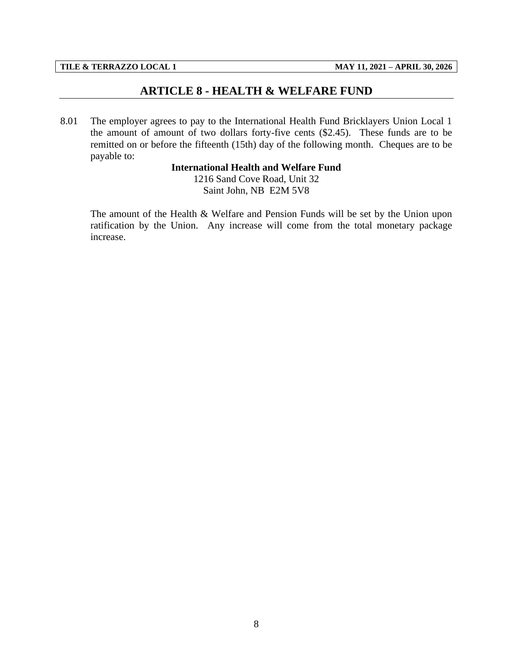## **ARTICLE 8 - HEALTH & WELFARE FUND**

<span id="page-10-0"></span>8.01 The employer agrees to pay to the International Health Fund Bricklayers Union Local 1 the amount of amount of two dollars forty-five cents (\$2.45). These funds are to be remitted on or before the fifteenth (15th) day of the following month. Cheques are to be payable to:

## **International Health and Welfare Fund**

1216 Sand Cove Road, Unit 32 Saint John, NB E2M 5V8

The amount of the Health & Welfare and Pension Funds will be set by the Union upon ratification by the Union. Any increase will come from the total monetary package increase.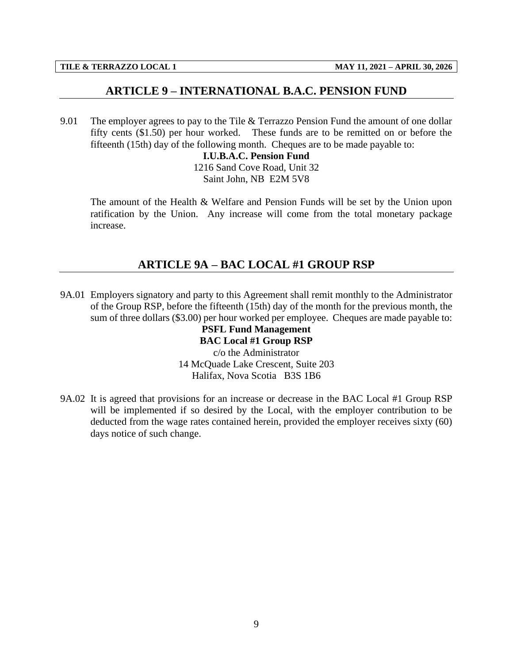## **ARTICLE 9 – INTERNATIONAL B.A.C. PENSION FUND**

<span id="page-11-0"></span>9.01 The employer agrees to pay to the Tile & Terrazzo Pension Fund the amount of one dollar fifty cents (\$1.50) per hour worked. These funds are to be remitted on or before the fifteenth (15th) day of the following month. Cheques are to be made payable to:

> **I.U.B.A.C. Pension Fund** 1216 Sand Cove Road, Unit 32 Saint John, NB E2M 5V8

The amount of the Health & Welfare and Pension Funds will be set by the Union upon ratification by the Union. Any increase will come from the total monetary package increase.

# **ARTICLE 9A – BAC LOCAL #1 GROUP RSP**

<span id="page-11-1"></span>9A.01 Employers signatory and party to this Agreement shall remit monthly to the Administrator of the Group RSP, before the fifteenth (15th) day of the month for the previous month, the sum of three dollars (\$3.00) per hour worked per employee. Cheques are made payable to:

**PSFL Fund Management BAC Local #1 Group RSP** c/o the Administrator 14 McQuade Lake Crescent, Suite 203 Halifax, Nova Scotia B3S 1B6

9A.02 It is agreed that provisions for an increase or decrease in the BAC Local #1 Group RSP will be implemented if so desired by the Local, with the employer contribution to be deducted from the wage rates contained herein, provided the employer receives sixty (60) days notice of such change.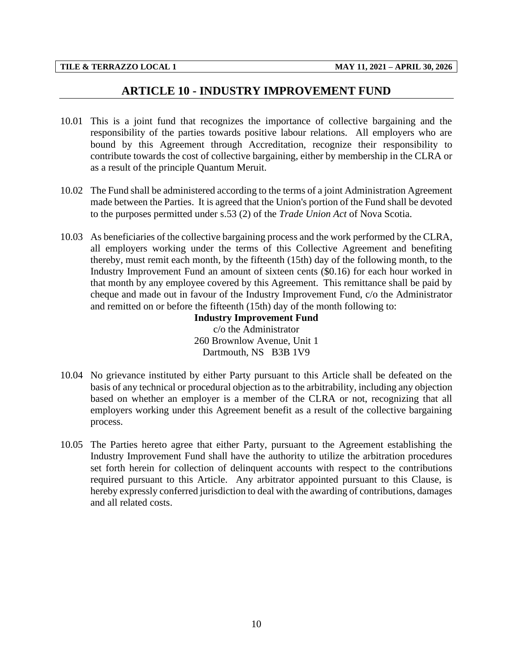## **ARTICLE 10 - INDUSTRY IMPROVEMENT FUND**

- <span id="page-12-0"></span>10.01 This is a joint fund that recognizes the importance of collective bargaining and the responsibility of the parties towards positive labour relations. All employers who are bound by this Agreement through Accreditation, recognize their responsibility to contribute towards the cost of collective bargaining, either by membership in the CLRA or as a result of the principle Quantum Meruit.
- 10.02 The Fund shall be administered according to the terms of a joint Administration Agreement made between the Parties. It is agreed that the Union's portion of the Fund shall be devoted to the purposes permitted under s.53 (2) of the *Trade Union Act* of Nova Scotia.
- 10.03 As beneficiaries of the collective bargaining process and the work performed by the CLRA, all employers working under the terms of this Collective Agreement and benefiting thereby, must remit each month, by the fifteenth (15th) day of the following month, to the Industry Improvement Fund an amount of sixteen cents (\$0.16) for each hour worked in that month by any employee covered by this Agreement. This remittance shall be paid by cheque and made out in favour of the Industry Improvement Fund, c/o the Administrator and remitted on or before the fifteenth (15th) day of the month following to:

**Industry Improvement Fund** c/o the Administrator 260 Brownlow Avenue, Unit 1 Dartmouth, NS B3B 1V9

- 10.04 No grievance instituted by either Party pursuant to this Article shall be defeated on the basis of any technical or procedural objection as to the arbitrability, including any objection based on whether an employer is a member of the CLRA or not, recognizing that all employers working under this Agreement benefit as a result of the collective bargaining process.
- 10.05 The Parties hereto agree that either Party, pursuant to the Agreement establishing the Industry Improvement Fund shall have the authority to utilize the arbitration procedures set forth herein for collection of delinquent accounts with respect to the contributions required pursuant to this Article. Any arbitrator appointed pursuant to this Clause, is hereby expressly conferred jurisdiction to deal with the awarding of contributions, damages and all related costs.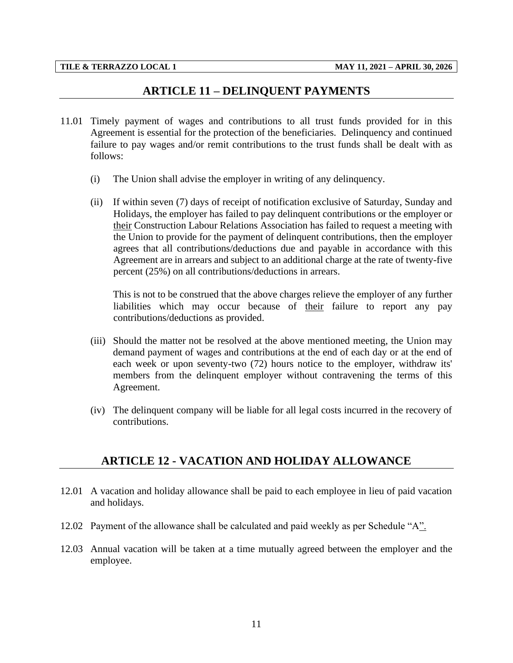## **ARTICLE 11 – DELINQUENT PAYMENTS**

- <span id="page-13-0"></span>11.01 Timely payment of wages and contributions to all trust funds provided for in this Agreement is essential for the protection of the beneficiaries. Delinquency and continued failure to pay wages and/or remit contributions to the trust funds shall be dealt with as follows:
	- (i) The Union shall advise the employer in writing of any delinquency.
	- (ii) If within seven (7) days of receipt of notification exclusive of Saturday, Sunday and Holidays, the employer has failed to pay delinquent contributions or the employer or their Construction Labour Relations Association has failed to request a meeting with the Union to provide for the payment of delinquent contributions, then the employer agrees that all contributions/deductions due and payable in accordance with this Agreement are in arrears and subject to an additional charge at the rate of twenty-five percent (25%) on all contributions/deductions in arrears.

This is not to be construed that the above charges relieve the employer of any further liabilities which may occur because of their failure to report any pay contributions/deductions as provided.

- (iii) Should the matter not be resolved at the above mentioned meeting, the Union may demand payment of wages and contributions at the end of each day or at the end of each week or upon seventy-two (72) hours notice to the employer, withdraw its' members from the delinquent employer without contravening the terms of this Agreement.
- (iv) The delinquent company will be liable for all legal costs incurred in the recovery of contributions.

## <span id="page-13-1"></span>**ARTICLE 12 - VACATION AND HOLIDAY ALLOWANCE**

- 12.01 A vacation and holiday allowance shall be paid to each employee in lieu of paid vacation and holidays.
- 12.02 Payment of the allowance shall be calculated and paid weekly as per Schedule "A".
- 12.03 Annual vacation will be taken at a time mutually agreed between the employer and the employee.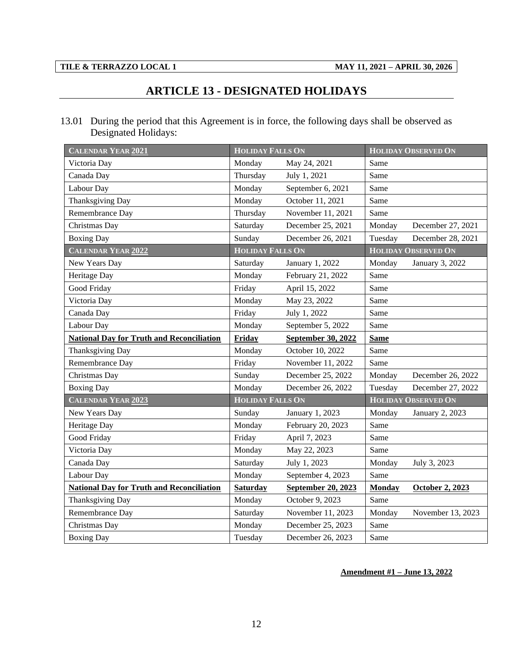# **ARTICLE 13 - DESIGNATED HOLIDAYS**

<span id="page-14-0"></span>13.01 During the period that this Agreement is in force, the following days shall be observed as Designated Holidays:

| <b>CALENDAR YEAR 2021</b>                        | <b>HOLIDAY FALLS ON</b> |                    |               | <b>HOLIDAY OBSERVED ON</b> |
|--------------------------------------------------|-------------------------|--------------------|---------------|----------------------------|
| Victoria Day                                     | Monday                  | May 24, 2021       | Same          |                            |
| Canada Day                                       | Thursday                | July 1, 2021       | Same          |                            |
| Labour Day                                       | Monday                  | September 6, 2021  | Same          |                            |
| Thanksgiving Day                                 | Monday                  | October 11, 2021   | Same          |                            |
| Remembrance Day                                  | Thursday                | November 11, 2021  | Same          |                            |
| Christmas Day                                    | Saturday                | December 25, 2021  | Monday        | December 27, 2021          |
| <b>Boxing Day</b>                                | Sunday                  | December 26, 2021  | Tuesday       | December 28, 2021          |
| CALENDAR YEAR 2022                               | <b>HOLIDAY FALLS ON</b> |                    |               | <b>HOLIDAY OBSERVED ON</b> |
| New Years Day                                    | Saturday                | January 1, 2022    | Monday        | January 3, 2022            |
| Heritage Day                                     | Monday                  | February 21, 2022  | Same          |                            |
| Good Friday                                      | Friday                  | April 15, 2022     | Same          |                            |
| Victoria Day                                     | Monday                  | May 23, 2022       | Same          |                            |
| Canada Day                                       | Friday                  | July 1, 2022       | Same          |                            |
| Labour Day                                       | Monday                  | September 5, 2022  | Same          |                            |
| <b>National Day for Truth and Reconciliation</b> | Friday                  | September 30, 2022 | <b>Same</b>   |                            |
| Thanksgiving Day                                 | Monday                  | October 10, 2022   | Same          |                            |
| Remembrance Day                                  | Friday                  | November 11, 2022  | Same          |                            |
| Christmas Day                                    | Sunday                  | December 25, 2022  | Monday        | December 26, 2022          |
| <b>Boxing Day</b>                                | Monday                  | December 26, 2022  | Tuesday       | December 27, 2022          |
| <b>CALENDAR YEAR 2023</b>                        | <b>HOLIDAY FALLS ON</b> |                    |               | <b>HOLIDAY OBSERVED ON</b> |
| New Years Day                                    | Sunday                  | January 1, 2023    | Monday        | January 2, 2023            |
| Heritage Day                                     | Monday                  | February 20, 2023  | Same          |                            |
| Good Friday                                      | Friday                  | April 7, 2023      | Same          |                            |
| Victoria Day                                     | Monday                  | May 22, 2023       | Same          |                            |
| Canada Day                                       | Saturday                | July 1, 2023       | Monday        | July 3, 2023               |
| Labour Day                                       | Monday                  | September 4, 2023  | Same          |                            |
| <b>National Day for Truth and Reconciliation</b> | <b>Saturday</b>         | September 20, 2023 | <b>Monday</b> | October 2, 2023            |
| Thanksgiving Day                                 | Monday                  | October 9, 2023    | Same          |                            |
| Remembrance Day                                  | Saturday                | November 11, 2023  | Monday        | November 13, 2023          |
| Christmas Day                                    | Monday                  | December 25, 2023  | Same          |                            |
| <b>Boxing Day</b>                                | Tuesday                 | December 26, 2023  | Same          |                            |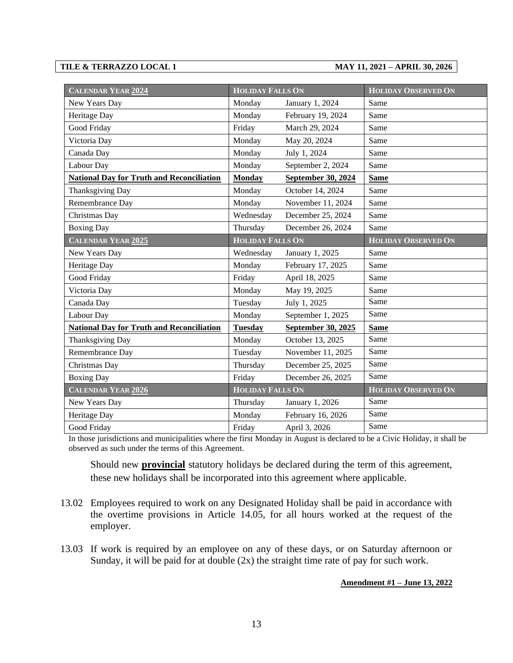| <b>CALENDAR YEAR 2024</b>                        | <b>HOLIDAY FALLS ON</b> |                    | <b>HOLIDAY OBSERVED ON</b> |
|--------------------------------------------------|-------------------------|--------------------|----------------------------|
| New Years Day                                    | Monday                  | January 1, 2024    | Same                       |
| Heritage Day                                     | Monday                  | February 19, 2024  | Same                       |
| Good Friday                                      | Friday                  | March 29, 2024     | Same                       |
| Victoria Day                                     | Monday                  | May 20, 2024       | Same                       |
| Canada Day                                       | Monday                  | July 1, 2024       | Same                       |
| Labour Day                                       | Monday                  | September 2, 2024  | Same                       |
| <b>National Day for Truth and Reconciliation</b> | <b>Monday</b>           | September 30, 2024 | <b>Same</b>                |
| Thanksgiving Day                                 | Monday                  | October 14, 2024   | Same                       |
| Remembrance Day                                  | Monday                  | November 11, 2024  | Same                       |
| Christmas Day                                    | Wednesday               | December 25, 2024  | Same                       |
| <b>Boxing Day</b>                                | Thursday                | December 26, 2024  | Same                       |
| <b>CALENDAR YEAR 2025</b>                        | <b>HOLIDAY FALLS ON</b> |                    | <b>HOLIDAY OBSERVED ON</b> |
| New Years Day                                    | Wednesday               | January 1, 2025    | Same                       |
| Heritage Day                                     | Monday                  | February 17, 2025  | Same                       |
| Good Friday                                      | Friday                  | April 18, 2025     | Same                       |
| Victoria Day                                     | Monday                  | May 19, 2025       | Same                       |
| Canada Day                                       | Tuesday                 | July 1, 2025       | Same                       |
| Labour Day                                       | Monday                  | September 1, 2025  | Same                       |
| <b>National Day for Truth and Reconciliation</b> | <b>Tuesday</b>          | September 30, 2025 | <b>Same</b>                |
| Thanksgiving Day                                 | Monday                  | October 13, 2025   | Same                       |
| Remembrance Day                                  | Tuesday                 | November 11, 2025  | Same                       |
| Christmas Day                                    | Thursday                | December 25, 2025  | Same                       |
| <b>Boxing Day</b>                                | Friday                  | December 26, 2025  | Same                       |
| <b>CALENDAR YEAR 2026</b>                        | <b>HOLIDAY FALLS ON</b> |                    | <b>HOLIDAY OBSERVED ON</b> |
| New Years Day                                    | Thursday                | January 1, 2026    | Same                       |
| Heritage Day                                     | Monday                  | February 16, 2026  | Same                       |
| Good Friday                                      | Friday                  | April 3, 2026      | Same                       |

In those jurisdictions and municipalities where the first Monday in August is declared to be a Civic Holiday, it shall be observed as such under the terms of this Agreement.

Should new **provincial** statutory holidays be declared during the term of this agreement, these new holidays shall be incorporated into this agreement where applicable.

- 13.02 Employees required to work on any Designated Holiday shall be paid in accordance with the overtime provisions in Article 14.05, for all hours worked at the request of the employer.
- 13.03 If work is required by an employee on any of these days, or on Saturday afternoon or Sunday, it will be paid for at double (2x) the straight time rate of pay for such work.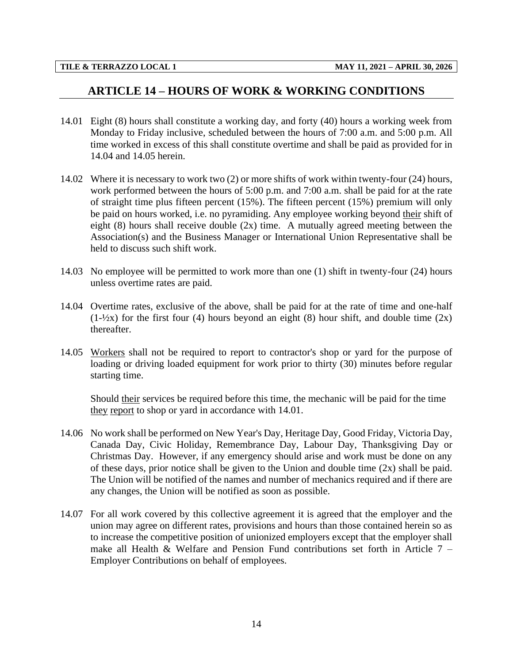# <span id="page-16-0"></span>**ARTICLE 14 – HOURS OF WORK & WORKING CONDITIONS**

- 14.01 Eight (8) hours shall constitute a working day, and forty (40) hours a working week from Monday to Friday inclusive, scheduled between the hours of 7:00 a.m. and 5:00 p.m. All time worked in excess of this shall constitute overtime and shall be paid as provided for in 14.04 and 14.05 herein.
- 14.02 Where it is necessary to work two (2) or more shifts of work within twenty-four (24) hours, work performed between the hours of 5:00 p.m. and 7:00 a.m. shall be paid for at the rate of straight time plus fifteen percent (15%). The fifteen percent (15%) premium will only be paid on hours worked, i.e. no pyramiding. Any employee working beyond their shift of eight (8) hours shall receive double (2x) time. A mutually agreed meeting between the Association(s) and the Business Manager or International Union Representative shall be held to discuss such shift work.
- 14.03 No employee will be permitted to work more than one (1) shift in twenty-four (24) hours unless overtime rates are paid.
- 14.04 Overtime rates, exclusive of the above, shall be paid for at the rate of time and one-half  $(1-\frac{1}{2}x)$  for the first four (4) hours beyond an eight (8) hour shift, and double time (2x) thereafter.
- 14.05 Workers shall not be required to report to contractor's shop or yard for the purpose of loading or driving loaded equipment for work prior to thirty (30) minutes before regular starting time.

Should their services be required before this time, the mechanic will be paid for the time they report to shop or yard in accordance with 14.01.

- 14.06 No work shall be performed on New Year's Day, Heritage Day, Good Friday, Victoria Day, Canada Day, Civic Holiday, Remembrance Day, Labour Day, Thanksgiving Day or Christmas Day. However, if any emergency should arise and work must be done on any of these days, prior notice shall be given to the Union and double time (2x) shall be paid. The Union will be notified of the names and number of mechanics required and if there are any changes, the Union will be notified as soon as possible.
- 14.07 For all work covered by this collective agreement it is agreed that the employer and the union may agree on different rates, provisions and hours than those contained herein so as to increase the competitive position of unionized employers except that the employer shall make all Health & Welfare and Pension Fund contributions set forth in Article  $7 -$ Employer Contributions on behalf of employees.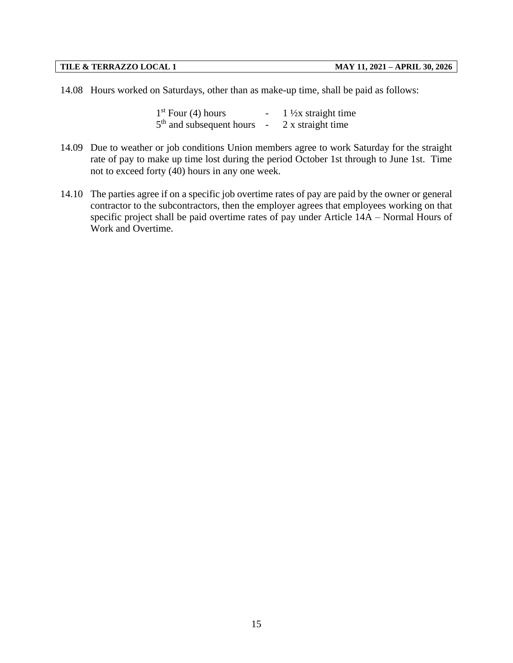14.08 Hours worked on Saturdays, other than as make-up time, shall be paid as follows:

 $1<sup>st</sup>$  Four (4) hours  $\frac{1 \times x}{1 \times x}$  straight time  $5<sup>th</sup>$  and subsequent hours - 2 x straight time

- 14.09 Due to weather or job conditions Union members agree to work Saturday for the straight rate of pay to make up time lost during the period October 1st through to June 1st. Time not to exceed forty (40) hours in any one week.
- 14.10 The parties agree if on a specific job overtime rates of pay are paid by the owner or general contractor to the subcontractors, then the employer agrees that employees working on that specific project shall be paid overtime rates of pay under Article 14A – Normal Hours of Work and Overtime.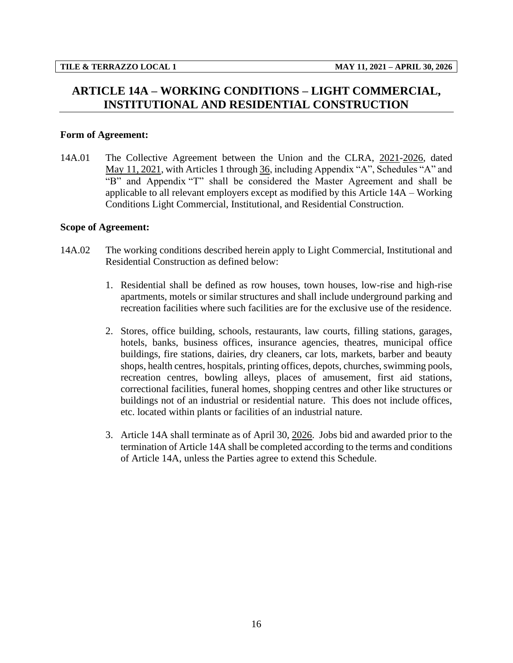# <span id="page-18-0"></span>**ARTICLE 14A – WORKING CONDITIONS – LIGHT COMMERCIAL, INSTITUTIONAL AND RESIDENTIAL CONSTRUCTION**

## **Form of Agreement:**

14A.01 The Collective Agreement between the Union and the CLRA, 2021-2026, dated May 11, 2021, with Articles 1 through 36, including Appendix "A", Schedules "A" and "B" and Appendix "T" shall be considered the Master Agreement and shall be applicable to all relevant employers except as modified by this Article 14A – Working Conditions Light Commercial, Institutional, and Residential Construction.

### **Scope of Agreement:**

- 14A.02 The working conditions described herein apply to Light Commercial, Institutional and Residential Construction as defined below:
	- 1. Residential shall be defined as row houses, town houses, low-rise and high-rise apartments, motels or similar structures and shall include underground parking and recreation facilities where such facilities are for the exclusive use of the residence.
	- 2. Stores, office building, schools, restaurants, law courts, filling stations, garages, hotels, banks, business offices, insurance agencies, theatres, municipal office buildings, fire stations, dairies, dry cleaners, car lots, markets, barber and beauty shops, health centres, hospitals, printing offices, depots, churches, swimming pools, recreation centres, bowling alleys, places of amusement, first aid stations, correctional facilities, funeral homes, shopping centres and other like structures or buildings not of an industrial or residential nature. This does not include offices, etc. located within plants or facilities of an industrial nature.
	- 3. Article 14A shall terminate as of April 30, 2026. Jobs bid and awarded prior to the termination of Article 14A shall be completed according to the terms and conditions of Article 14A, unless the Parties agree to extend this Schedule.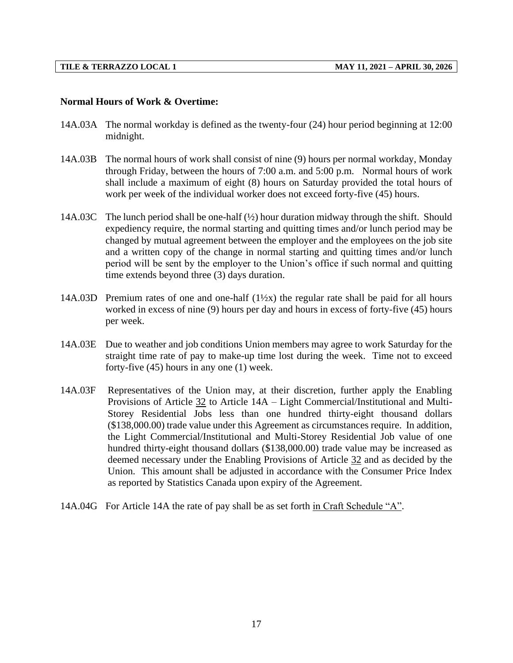## **Normal Hours of Work & Overtime:**

- 14A.03A The normal workday is defined as the twenty-four (24) hour period beginning at 12:00 midnight.
- 14A.03B The normal hours of work shall consist of nine (9) hours per normal workday, Monday through Friday, between the hours of 7:00 a.m. and 5:00 p.m. Normal hours of work shall include a maximum of eight (8) hours on Saturday provided the total hours of work per week of the individual worker does not exceed forty-five (45) hours.
- 14A.03C The lunch period shall be one-half  $(\frac{1}{2})$  hour duration midway through the shift. Should expediency require, the normal starting and quitting times and/or lunch period may be changed by mutual agreement between the employer and the employees on the job site and a written copy of the change in normal starting and quitting times and/or lunch period will be sent by the employer to the Union's office if such normal and quitting time extends beyond three (3) days duration.
- 14A.03D Premium rates of one and one-half  $(1\frac{1}{2}x)$  the regular rate shall be paid for all hours worked in excess of nine (9) hours per day and hours in excess of forty-five (45) hours per week.
- 14A.03E Due to weather and job conditions Union members may agree to work Saturday for the straight time rate of pay to make-up time lost during the week. Time not to exceed forty-five (45) hours in any one (1) week.
- 14A.03F Representatives of the Union may, at their discretion, further apply the Enabling Provisions of Article 32 to Article 14A – Light Commercial/Institutional and Multi-Storey Residential Jobs less than one hundred thirty-eight thousand dollars (\$138,000.00) trade value under this Agreement as circumstances require. In addition, the Light Commercial/Institutional and Multi-Storey Residential Job value of one hundred thirty-eight thousand dollars (\$138,000.00) trade value may be increased as deemed necessary under the Enabling Provisions of Article 32 and as decided by the Union. This amount shall be adjusted in accordance with the Consumer Price Index as reported by Statistics Canada upon expiry of the Agreement.
- 14A.04G For Article 14A the rate of pay shall be as set forth in Craft Schedule "A".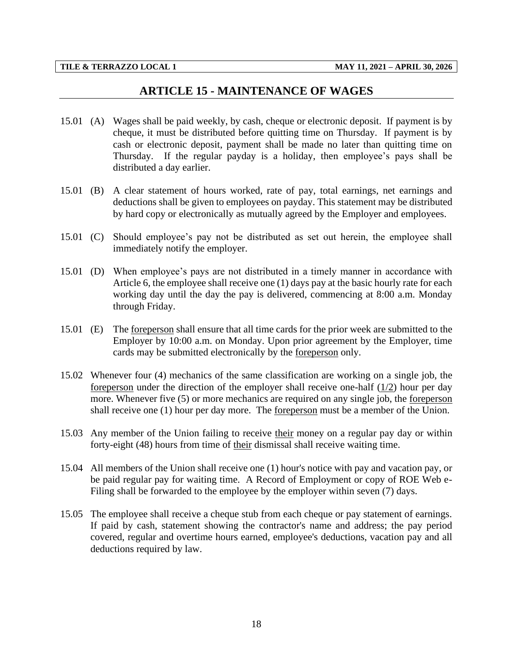## **ARTICLE 15 - MAINTENANCE OF WAGES**

- <span id="page-20-0"></span>15.01 (A) Wages shall be paid weekly, by cash, cheque or electronic deposit. If payment is by cheque, it must be distributed before quitting time on Thursday. If payment is by cash or electronic deposit, payment shall be made no later than quitting time on Thursday. If the regular payday is a holiday, then employee's pays shall be distributed a day earlier.
- 15.01 (B) A clear statement of hours worked, rate of pay, total earnings, net earnings and deductions shall be given to employees on payday. This statement may be distributed by hard copy or electronically as mutually agreed by the Employer and employees.
- 15.01 (C) Should employee's pay not be distributed as set out herein, the employee shall immediately notify the employer.
- 15.01 (D) When employee's pays are not distributed in a timely manner in accordance with Article 6, the employee shall receive one (1) days pay at the basic hourly rate for each working day until the day the pay is delivered, commencing at 8:00 a.m. Monday through Friday.
- 15.01 (E) The foreperson shall ensure that all time cards for the prior week are submitted to the Employer by 10:00 a.m. on Monday. Upon prior agreement by the Employer, time cards may be submitted electronically by the foreperson only.
- 15.02 Whenever four (4) mechanics of the same classification are working on a single job, the foreperson under the direction of the employer shall receive one-half (1/2) hour per day more. Whenever five (5) or more mechanics are required on any single job, the foreperson shall receive one (1) hour per day more. The foreperson must be a member of the Union.
- 15.03 Any member of the Union failing to receive their money on a regular pay day or within forty-eight (48) hours from time of their dismissal shall receive waiting time.
- 15.04 All members of the Union shall receive one (1) hour's notice with pay and vacation pay, or be paid regular pay for waiting time. A Record of Employment or copy of ROE Web e-Filing shall be forwarded to the employee by the employer within seven (7) days.
- 15.05 The employee shall receive a cheque stub from each cheque or pay statement of earnings. If paid by cash, statement showing the contractor's name and address; the pay period covered, regular and overtime hours earned, employee's deductions, vacation pay and all deductions required by law.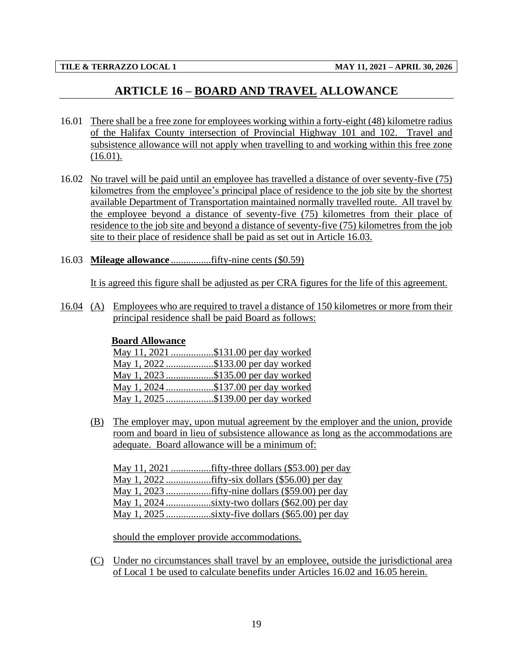# **ARTICLE 16 – BOARD AND TRAVEL ALLOWANCE**

- <span id="page-21-0"></span>16.01 There shall be a free zone for employees working within a forty-eight (48) kilometre radius of the Halifax County intersection of Provincial Highway 101 and 102. Travel and subsistence allowance will not apply when travelling to and working within this free zone (16.01).
- 16.02 No travel will be paid until an employee has travelled a distance of over seventy-five (75) kilometres from the employee's principal place of residence to the job site by the shortest available Department of Transportation maintained normally travelled route. All travel by the employee beyond a distance of seventy-five (75) kilometres from their place of residence to the job site and beyond a distance of seventy-five (75) kilometres from the job site to their place of residence shall be paid as set out in Article 16.03.
- 16.03 **Mileage allowance** ................fifty-nine cents (\$0.59)

It is agreed this figure shall be adjusted as per CRA figures for the life of this agreement.

16.04 (A) Employees who are required to travel a distance of 150 kilometres or more from their principal residence shall be paid Board as follows:

## **Board Allowance**

| May 11, 2021 \$131.00 per day worked |
|--------------------------------------|
| May 1, 2022 \$133.00 per day worked  |
| May 1, 2023 \$135.00 per day worked  |
| May 1, 2024 \$137.00 per day worked  |
| May 1, 2025 \$139.00 per day worked  |

(B) The employer may, upon mutual agreement by the employer and the union, provide room and board in lieu of subsistence allowance as long as the accommodations are adequate. Board allowance will be a minimum of:

May 11, 2021 ................fifty-three dollars (\$53.00) per day May 1, 2022 ..................fifty-six dollars (\$56.00) per day May 1, 2023 ..................fifty-nine dollars (\$59.00) per day May 1, 2024 ..................sixty-two dollars (\$62.00) per day May 1, 2025 ..................sixty-five dollars (\$65.00) per day

should the employer provide accommodations.

(C) Under no circumstances shall travel by an employee, outside the jurisdictional area of Local 1 be used to calculate benefits under Articles 16.02 and 16.05 herein.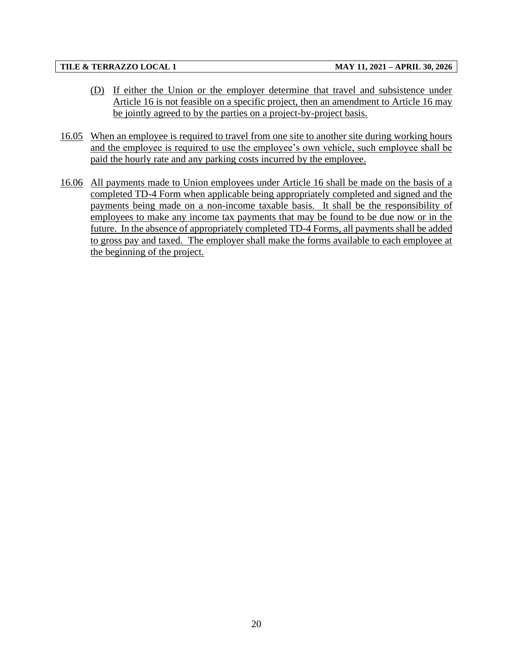- (D) If either the Union or the employer determine that travel and subsistence under Article 16 is not feasible on a specific project, then an amendment to Article 16 may be jointly agreed to by the parties on a project-by-project basis.
- 16.05 When an employee is required to travel from one site to another site during working hours and the employee is required to use the employee's own vehicle, such employee shall be paid the hourly rate and any parking costs incurred by the employee.
- 16.06 All payments made to Union employees under Article 16 shall be made on the basis of a completed TD-4 Form when applicable being appropriately completed and signed and the payments being made on a non-income taxable basis. It shall be the responsibility of employees to make any income tax payments that may be found to be due now or in the future. In the absence of appropriately completed TD-4 Forms, all payments shall be added to gross pay and taxed. The employer shall make the forms available to each employee at the beginning of the project.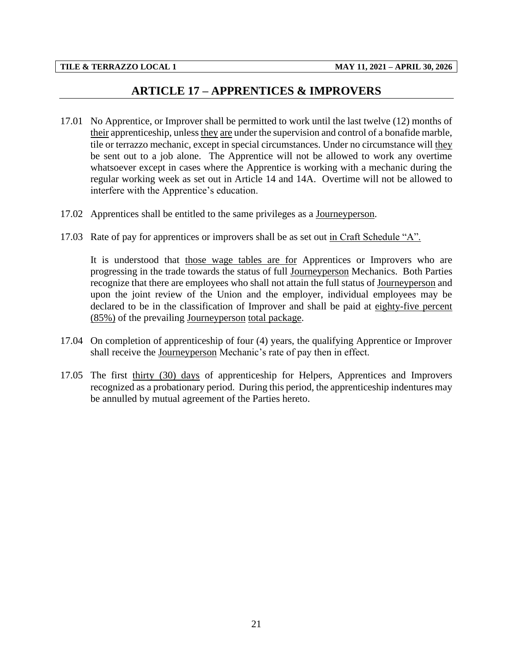# **ARTICLE 17 – APPRENTICES & IMPROVERS**

- <span id="page-23-0"></span>17.01 No Apprentice, or Improver shall be permitted to work until the last twelve (12) months of their apprenticeship, unless they are under the supervision and control of a bonafide marble, tile or terrazzo mechanic, except in special circumstances. Under no circumstance will they be sent out to a job alone. The Apprentice will not be allowed to work any overtime whatsoever except in cases where the Apprentice is working with a mechanic during the regular working week as set out in Article 14 and 14A. Overtime will not be allowed to interfere with the Apprentice's education.
- 17.02 Apprentices shall be entitled to the same privileges as a Journeyperson.
- 17.03 Rate of pay for apprentices or improvers shall be as set out in Craft Schedule "A".

It is understood that those wage tables are for Apprentices or Improvers who are progressing in the trade towards the status of full Journeyperson Mechanics. Both Parties recognize that there are employees who shall not attain the full status of Journeyperson and upon the joint review of the Union and the employer, individual employees may be declared to be in the classification of Improver and shall be paid at eighty-five percent (85%) of the prevailing Journeyperson total package.

- 17.04 On completion of apprenticeship of four (4) years, the qualifying Apprentice or Improver shall receive the Journeyperson Mechanic's rate of pay then in effect.
- 17.05 The first thirty (30) days of apprenticeship for Helpers, Apprentices and Improvers recognized as a probationary period. During this period, the apprenticeship indentures may be annulled by mutual agreement of the Parties hereto.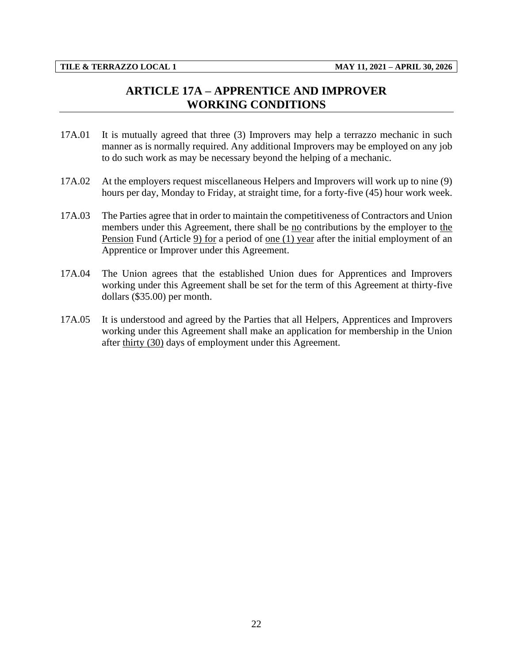# **ARTICLE 17A – APPRENTICE AND IMPROVER WORKING CONDITIONS**

- <span id="page-24-0"></span>17A.01 It is mutually agreed that three (3) Improvers may help a terrazzo mechanic in such manner as is normally required. Any additional Improvers may be employed on any job to do such work as may be necessary beyond the helping of a mechanic.
- 17A.02 At the employers request miscellaneous Helpers and Improvers will work up to nine (9) hours per day, Monday to Friday, at straight time, for a forty-five (45) hour work week.
- 17A.03 The Parties agree that in order to maintain the competitiveness of Contractors and Union members under this Agreement, there shall be no contributions by the employer to the Pension Fund (Article 9) for a period of one (1) year after the initial employment of an Apprentice or Improver under this Agreement.
- 17A.04 The Union agrees that the established Union dues for Apprentices and Improvers working under this Agreement shall be set for the term of this Agreement at thirty-five dollars (\$35.00) per month.
- 17A.05 It is understood and agreed by the Parties that all Helpers, Apprentices and Improvers working under this Agreement shall make an application for membership in the Union after thirty (30) days of employment under this Agreement.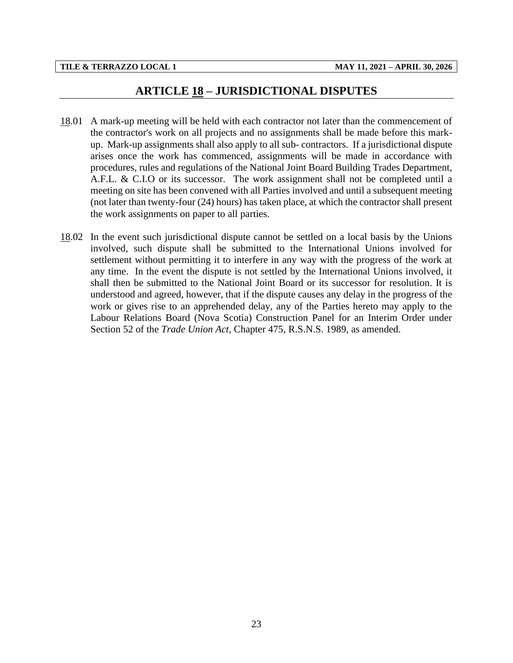## **ARTICLE 18 – JURISDICTIONAL DISPUTES**

- <span id="page-25-0"></span>18.01 A mark-up meeting will be held with each contractor not later than the commencement of the contractor's work on all projects and no assignments shall be made before this markup. Mark-up assignments shall also apply to all sub- contractors. If a jurisdictional dispute arises once the work has commenced, assignments will be made in accordance with procedures, rules and regulations of the National Joint Board Building Trades Department, A.F.L. & C.I.O or its successor. The work assignment shall not be completed until a meeting on site has been convened with all Parties involved and until a subsequent meeting (not later than twenty-four (24) hours) has taken place, at which the contractor shall present the work assignments on paper to all parties.
- 18.02 In the event such jurisdictional dispute cannot be settled on a local basis by the Unions involved, such dispute shall be submitted to the International Unions involved for settlement without permitting it to interfere in any way with the progress of the work at any time. In the event the dispute is not settled by the International Unions involved, it shall then be submitted to the National Joint Board or its successor for resolution. It is understood and agreed, however, that if the dispute causes any delay in the progress of the work or gives rise to an apprehended delay, any of the Parties hereto may apply to the Labour Relations Board (Nova Scotia) Construction Panel for an Interim Order under Section 52 of the *Trade Union Act*, Chapter 475, R.S.N.S. 1989, as amended.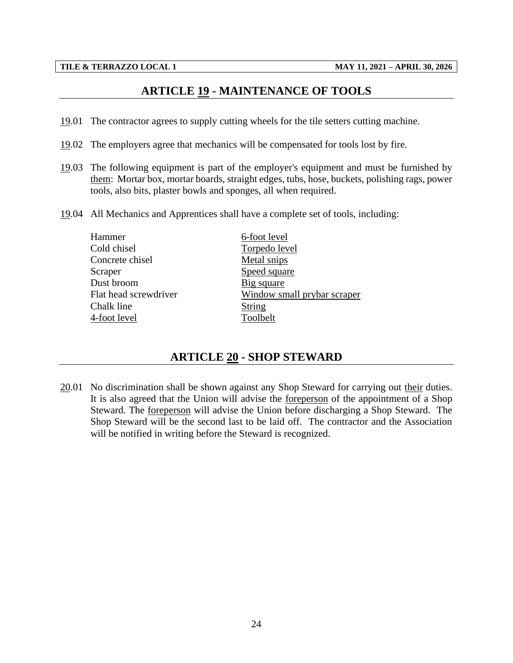# **ARTICLE 19 - MAINTENANCE OF TOOLS**

- <span id="page-26-0"></span>19.01 The contractor agrees to supply cutting wheels for the tile setters cutting machine.
- 19.02 The employers agree that mechanics will be compensated for tools lost by fire.
- 19.03 The following equipment is part of the employer's equipment and must be furnished by them: Mortar box, mortar boards, straight edges, tubs, hose, buckets, polishing rags, power tools, also bits, plaster bowls and sponges, all when required.
- 19.04 All Mechanics and Apprentices shall have a complete set of tools, including:

| Hammer                | 6-foot level                |
|-----------------------|-----------------------------|
| Cold chisel           | Torpedo level               |
| Concrete chisel       | Metal snips                 |
| Scraper               | Speed square                |
| Dust broom            | Big square                  |
| Flat head screwdriver | Window small prybar scraper |
| Chalk line            | String                      |
| 4-foot level          | Toolbelt                    |
|                       |                             |

# **ARTICLE 20 - SHOP STEWARD**

<span id="page-26-1"></span>20.01 No discrimination shall be shown against any Shop Steward for carrying out their duties. It is also agreed that the Union will advise the foreperson of the appointment of a Shop Steward. The foreperson will advise the Union before discharging a Shop Steward. The Shop Steward will be the second last to be laid off. The contractor and the Association will be notified in writing before the Steward is recognized.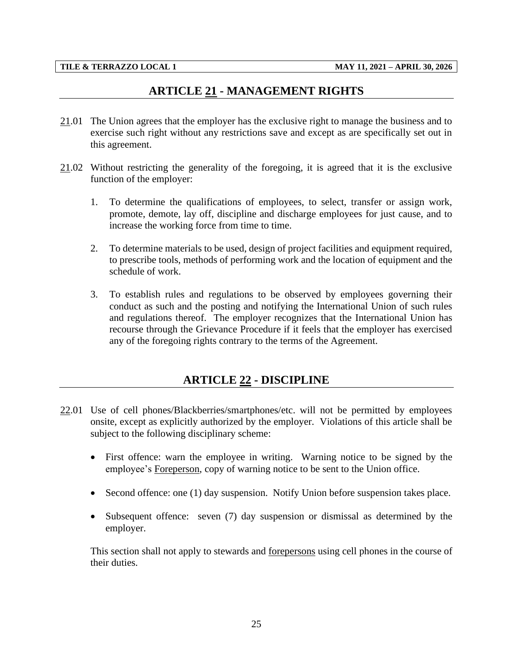# **ARTICLE 21 - MANAGEMENT RIGHTS**

- <span id="page-27-0"></span>21.01 The Union agrees that the employer has the exclusive right to manage the business and to exercise such right without any restrictions save and except as are specifically set out in this agreement.
- 21.02 Without restricting the generality of the foregoing, it is agreed that it is the exclusive function of the employer:
	- 1. To determine the qualifications of employees, to select, transfer or assign work, promote, demote, lay off, discipline and discharge employees for just cause, and to increase the working force from time to time.
	- 2. To determine materials to be used, design of project facilities and equipment required, to prescribe tools, methods of performing work and the location of equipment and the schedule of work.
	- 3. To establish rules and regulations to be observed by employees governing their conduct as such and the posting and notifying the International Union of such rules and regulations thereof. The employer recognizes that the International Union has recourse through the Grievance Procedure if it feels that the employer has exercised any of the foregoing rights contrary to the terms of the Agreement.

# **ARTICLE 22 - DISCIPLINE**

- <span id="page-27-1"></span>22.01 Use of cell phones/Blackberries/smartphones/etc. will not be permitted by employees onsite, except as explicitly authorized by the employer. Violations of this article shall be subject to the following disciplinary scheme:
	- First offence: warn the employee in writing. Warning notice to be signed by the employee's Foreperson, copy of warning notice to be sent to the Union office.
	- Second offence: one (1) day suspension. Notify Union before suspension takes place.
	- Subsequent offence: seven (7) day suspension or dismissal as determined by the employer.

This section shall not apply to stewards and forepersons using cell phones in the course of their duties.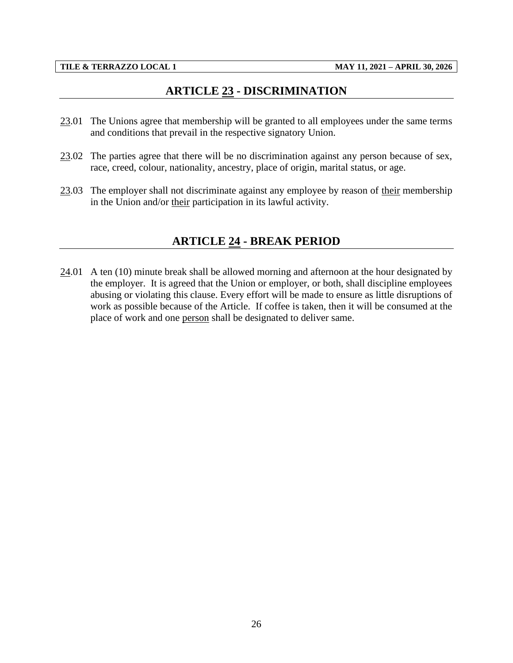# **ARTICLE 23 - DISCRIMINATION**

- <span id="page-28-0"></span>23.01 The Unions agree that membership will be granted to all employees under the same terms and conditions that prevail in the respective signatory Union.
- $23.02$  The parties agree that there will be no discrimination against any person because of sex, race, creed, colour, nationality, ancestry, place of origin, marital status, or age.
- <span id="page-28-1"></span>23.03 The employer shall not discriminate against any employee by reason of their membership in the Union and/or their participation in its lawful activity.

# **ARTICLE 24 - BREAK PERIOD**

 $24.01$  A ten (10) minute break shall be allowed morning and afternoon at the hour designated by the employer. It is agreed that the Union or employer, or both, shall discipline employees abusing or violating this clause. Every effort will be made to ensure as little disruptions of work as possible because of the Article. If coffee is taken, then it will be consumed at the place of work and one person shall be designated to deliver same.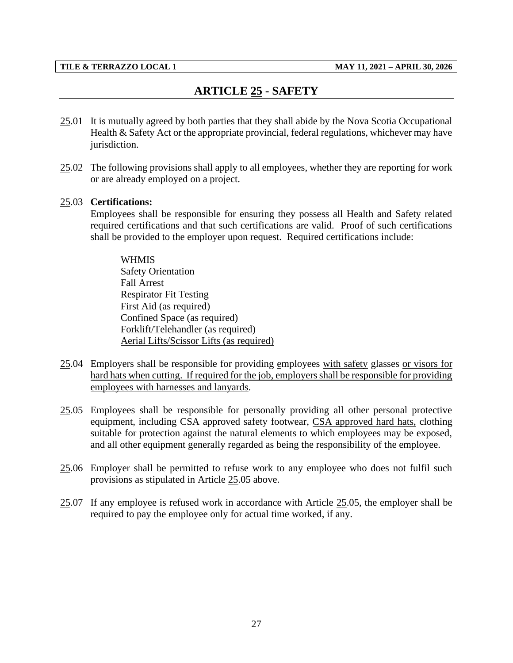# **ARTICLE 25 - SAFETY**

- <span id="page-29-0"></span>25.01 It is mutually agreed by both parties that they shall abide by the Nova Scotia Occupational Health & Safety Act or the appropriate provincial, federal regulations, whichever may have jurisdiction.
- 25.02 The following provisions shall apply to all employees, whether they are reporting for work or are already employed on a project.

## 25.03 **Certifications:**

Employees shall be responsible for ensuring they possess all Health and Safety related required certifications and that such certifications are valid. Proof of such certifications shall be provided to the employer upon request. Required certifications include:

### WHMIS

Safety Orientation Fall Arrest Respirator Fit Testing First Aid (as required) Confined Space (as required) Forklift/Telehandler (as required) Aerial Lifts/Scissor Lifts (as required)

- 25.04 Employers shall be responsible for providing employees with safety glasses or visors for hard hats when cutting. If required for the job, employers shall be responsible for providing employees with harnesses and lanyards.
- 25.05 Employees shall be responsible for personally providing all other personal protective equipment, including CSA approved safety footwear, CSA approved hard hats, clothing suitable for protection against the natural elements to which employees may be exposed, and all other equipment generally regarded as being the responsibility of the employee.
- 25.06 Employer shall be permitted to refuse work to any employee who does not fulfil such provisions as stipulated in Article 25.05 above.
- 25.07 If any employee is refused work in accordance with Article 25.05, the employer shall be required to pay the employee only for actual time worked, if any.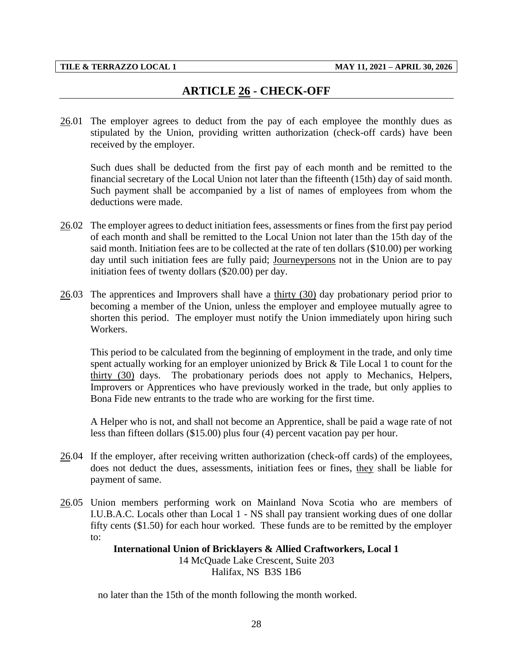# **ARTICLE 26 - CHECK-OFF**

<span id="page-30-0"></span>26.01 The employer agrees to deduct from the pay of each employee the monthly dues as stipulated by the Union, providing written authorization (check-off cards) have been received by the employer.

Such dues shall be deducted from the first pay of each month and be remitted to the financial secretary of the Local Union not later than the fifteenth (15th) day of said month. Such payment shall be accompanied by a list of names of employees from whom the deductions were made.

- $26.02$  The employer agrees to deduct initiation fees, assessments or fines from the first pay period of each month and shall be remitted to the Local Union not later than the 15th day of the said month. Initiation fees are to be collected at the rate of ten dollars (\$10.00) per working day until such initiation fees are fully paid; Journeypersons not in the Union are to pay initiation fees of twenty dollars (\$20.00) per day.
- 26.03 The apprentices and Improvers shall have a thirty (30) day probationary period prior to becoming a member of the Union, unless the employer and employee mutually agree to shorten this period. The employer must notify the Union immediately upon hiring such Workers.

This period to be calculated from the beginning of employment in the trade, and only time spent actually working for an employer unionized by Brick & Tile Local 1 to count for the thirty (30) days. The probationary periods does not apply to Mechanics, Helpers, Improvers or Apprentices who have previously worked in the trade, but only applies to Bona Fide new entrants to the trade who are working for the first time.

A Helper who is not, and shall not become an Apprentice, shall be paid a wage rate of not less than fifteen dollars (\$15.00) plus four (4) percent vacation pay per hour.

- 26.04 If the employer, after receiving written authorization (check-off cards) of the employees, does not deduct the dues, assessments, initiation fees or fines, they shall be liable for payment of same.
- 26.05 Union members performing work on Mainland Nova Scotia who are members of I.U.B.A.C. Locals other than Local 1 - NS shall pay transient working dues of one dollar fifty cents (\$1.50) for each hour worked. These funds are to be remitted by the employer to:

## **International Union of Bricklayers & Allied Craftworkers, Local 1**

14 McQuade Lake Crescent, Suite 203 Halifax, NS B3S 1B6

no later than the 15th of the month following the month worked.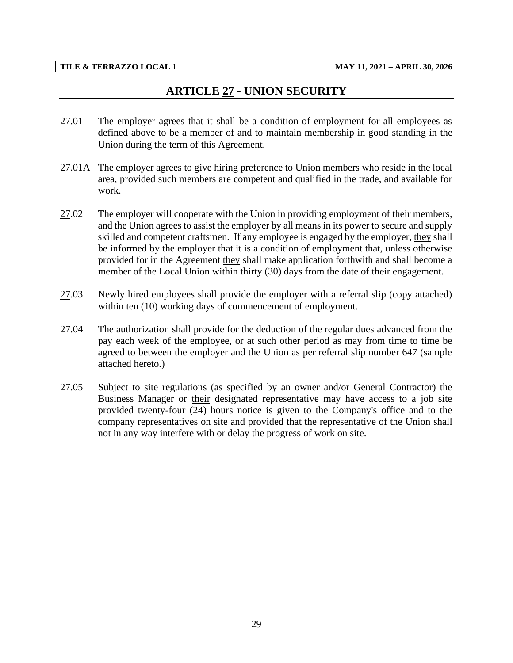# **ARTICLE 27 - UNION SECURITY**

- <span id="page-31-0"></span>27.01 The employer agrees that it shall be a condition of employment for all employees as defined above to be a member of and to maintain membership in good standing in the Union during the term of this Agreement.
- 27.01A The employer agrees to give hiring preference to Union members who reside in the local area, provided such members are competent and qualified in the trade, and available for work.
- 27.02 The employer will cooperate with the Union in providing employment of their members, and the Union agrees to assist the employer by all means in its power to secure and supply skilled and competent craftsmen. If any employee is engaged by the employer, they shall be informed by the employer that it is a condition of employment that, unless otherwise provided for in the Agreement they shall make application forthwith and shall become a member of the Local Union within thirty (30) days from the date of their engagement.
- 27.03 Newly hired employees shall provide the employer with a referral slip (copy attached) within ten (10) working days of commencement of employment.
- 27.04 The authorization shall provide for the deduction of the regular dues advanced from the pay each week of the employee, or at such other period as may from time to time be agreed to between the employer and the Union as per referral slip number 647 (sample attached hereto.)
- 27.05 Subject to site regulations (as specified by an owner and/or General Contractor) the Business Manager or their designated representative may have access to a job site provided twenty-four (24) hours notice is given to the Company's office and to the company representatives on site and provided that the representative of the Union shall not in any way interfere with or delay the progress of work on site.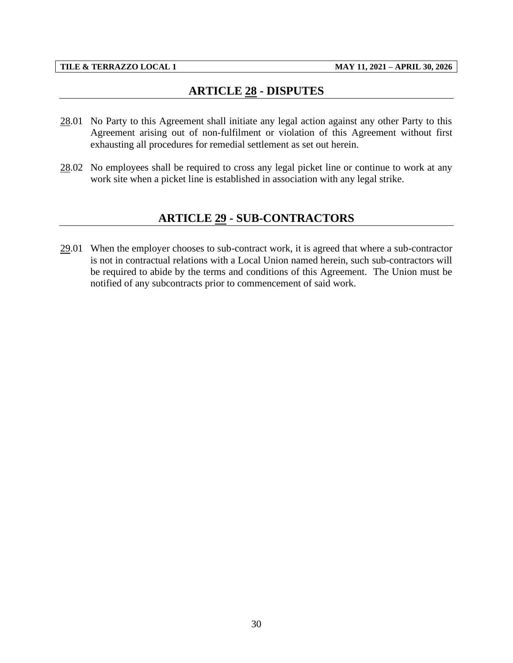# **ARTICLE 28 - DISPUTES**

- <span id="page-32-0"></span>28.01 No Party to this Agreement shall initiate any legal action against any other Party to this Agreement arising out of non-fulfilment or violation of this Agreement without first exhausting all procedures for remedial settlement as set out herein.
- <span id="page-32-1"></span>28.02 No employees shall be required to cross any legal picket line or continue to work at any work site when a picket line is established in association with any legal strike.

# **ARTICLE 29 - SUB-CONTRACTORS**

29.01 When the employer chooses to sub-contract work, it is agreed that where a sub-contractor is not in contractual relations with a Local Union named herein, such sub-contractors will be required to abide by the terms and conditions of this Agreement. The Union must be notified of any subcontracts prior to commencement of said work.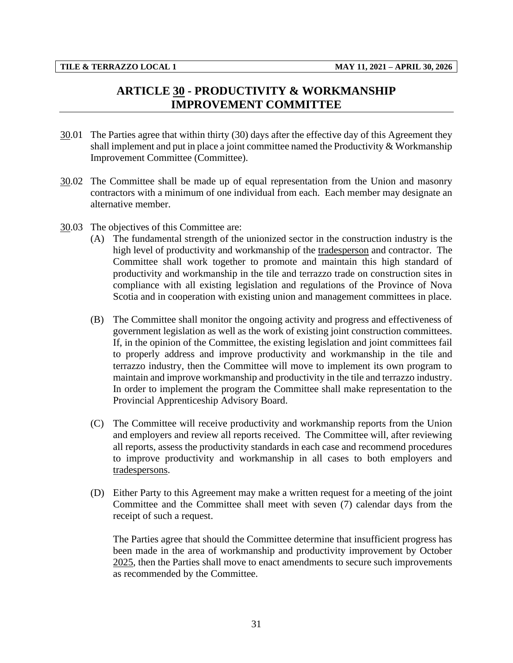# **ARTICLE 30 - PRODUCTIVITY & WORKMANSHIP IMPROVEMENT COMMITTEE**

- <span id="page-33-0"></span>30.01 The Parties agree that within thirty (30) days after the effective day of this Agreement they shall implement and put in place a joint committee named the Productivity  $& Workmanship$ Improvement Committee (Committee).
- 30.02 The Committee shall be made up of equal representation from the Union and masonry contractors with a minimum of one individual from each. Each member may designate an alternative member.
- 30.03 The objectives of this Committee are:
	- (A) The fundamental strength of the unionized sector in the construction industry is the high level of productivity and workmanship of the tradesperson and contractor. The Committee shall work together to promote and maintain this high standard of productivity and workmanship in the tile and terrazzo trade on construction sites in compliance with all existing legislation and regulations of the Province of Nova Scotia and in cooperation with existing union and management committees in place.
	- (B) The Committee shall monitor the ongoing activity and progress and effectiveness of government legislation as well as the work of existing joint construction committees. If, in the opinion of the Committee, the existing legislation and joint committees fail to properly address and improve productivity and workmanship in the tile and terrazzo industry, then the Committee will move to implement its own program to maintain and improve workmanship and productivity in the tile and terrazzo industry. In order to implement the program the Committee shall make representation to the Provincial Apprenticeship Advisory Board.
	- (C) The Committee will receive productivity and workmanship reports from the Union and employers and review all reports received. The Committee will, after reviewing all reports, assess the productivity standards in each case and recommend procedures to improve productivity and workmanship in all cases to both employers and tradespersons.
	- (D) Either Party to this Agreement may make a written request for a meeting of the joint Committee and the Committee shall meet with seven (7) calendar days from the receipt of such a request.

The Parties agree that should the Committee determine that insufficient progress has been made in the area of workmanship and productivity improvement by October 2025, then the Parties shall move to enact amendments to secure such improvements as recommended by the Committee.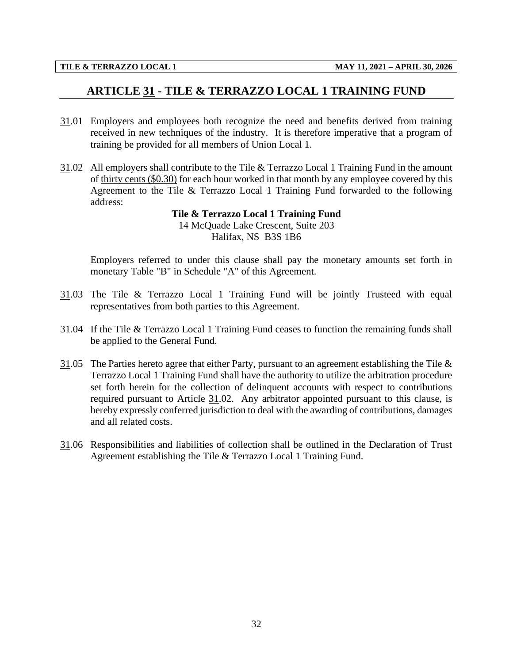# <span id="page-34-0"></span>**ARTICLE 31 - TILE & TERRAZZO LOCAL 1 TRAINING FUND**

- 31.01 Employers and employees both recognize the need and benefits derived from training received in new techniques of the industry. It is therefore imperative that a program of training be provided for all members of Union Local 1.
- 31.02 All employers shall contribute to the Tile & Terrazzo Local 1 Training Fund in the amount of thirty cents (\$0.30) for each hour worked in that month by any employee covered by this Agreement to the Tile & Terrazzo Local 1 Training Fund forwarded to the following address:

## **Tile & Terrazzo Local 1 Training Fund** 14 McQuade Lake Crescent, Suite 203 Halifax, NS B3S 1B6

Employers referred to under this clause shall pay the monetary amounts set forth in monetary Table "B" in Schedule "A" of this Agreement.

- 31.03 The Tile & Terrazzo Local 1 Training Fund will be jointly Trusteed with equal representatives from both parties to this Agreement.
- 31.04 If the Tile & Terrazzo Local 1 Training Fund ceases to function the remaining funds shall be applied to the General Fund.
- 31.05 The Parties hereto agree that either Party, pursuant to an agreement establishing the Tile  $\&$ Terrazzo Local 1 Training Fund shall have the authority to utilize the arbitration procedure set forth herein for the collection of delinquent accounts with respect to contributions required pursuant to Article 31.02. Any arbitrator appointed pursuant to this clause, is hereby expressly conferred jurisdiction to deal with the awarding of contributions, damages and all related costs.
- 31.06 Responsibilities and liabilities of collection shall be outlined in the Declaration of Trust Agreement establishing the Tile & Terrazzo Local 1 Training Fund.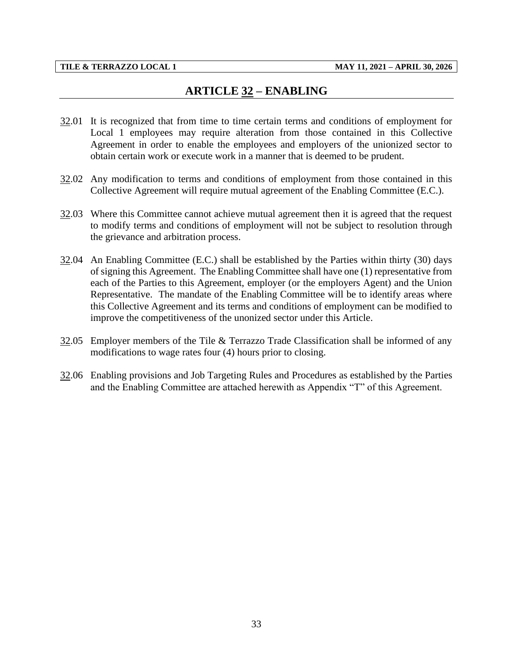# **ARTICLE 32 – ENABLING**

- <span id="page-35-0"></span>32.01 It is recognized that from time to time certain terms and conditions of employment for Local 1 employees may require alteration from those contained in this Collective Agreement in order to enable the employees and employers of the unionized sector to obtain certain work or execute work in a manner that is deemed to be prudent.
- 32.02 Any modification to terms and conditions of employment from those contained in this Collective Agreement will require mutual agreement of the Enabling Committee (E.C.).
- 32.03 Where this Committee cannot achieve mutual agreement then it is agreed that the request to modify terms and conditions of employment will not be subject to resolution through the grievance and arbitration process.
- 32.04 An Enabling Committee (E.C.) shall be established by the Parties within thirty (30) days of signing this Agreement. The Enabling Committee shall have one (1) representative from each of the Parties to this Agreement, employer (or the employers Agent) and the Union Representative. The mandate of the Enabling Committee will be to identify areas where this Collective Agreement and its terms and conditions of employment can be modified to improve the competitiveness of the unonized sector under this Article.
- 32.05 Employer members of the Tile & Terrazzo Trade Classification shall be informed of any modifications to wage rates four (4) hours prior to closing.
- 32.06 Enabling provisions and Job Targeting Rules and Procedures as established by the Parties and the Enabling Committee are attached herewith as Appendix "T" of this Agreement.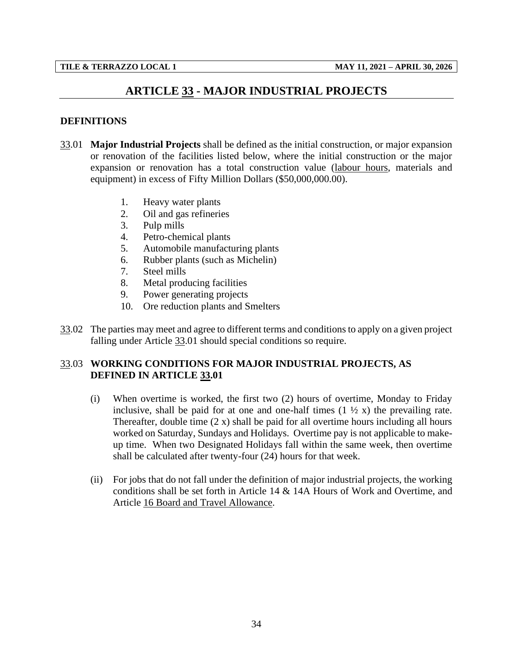# **ARTICLE 33 - MAJOR INDUSTRIAL PROJECTS**

## <span id="page-36-0"></span>**DEFINITIONS**

- 33.01 **Major Industrial Projects** shall be defined as the initial construction, or major expansion or renovation of the facilities listed below, where the initial construction or the major expansion or renovation has a total construction value (labour hours, materials and equipment) in excess of Fifty Million Dollars (\$50,000,000.00).
	- 1. Heavy water plants
	- 2. Oil and gas refineries
	- 3. Pulp mills
	- 4. Petro-chemical plants
	- 5. Automobile manufacturing plants
	- 6. Rubber plants (such as Michelin)
	- 7. Steel mills
	- 8. Metal producing facilities
	- 9. Power generating projects
	- 10. Ore reduction plants and Smelters
- 33.02 The parties may meet and agree to different terms and conditions to apply on a given project falling under Article 33.01 should special conditions so require.

## 33.03 **WORKING CONDITIONS FOR MAJOR INDUSTRIAL PROJECTS, AS DEFINED IN ARTICLE 33.01**

- (i) When overtime is worked, the first two (2) hours of overtime, Monday to Friday inclusive, shall be paid for at one and one-half times  $(1 \frac{1}{2} x)$  the prevailing rate. Thereafter, double time (2 x) shall be paid for all overtime hours including all hours worked on Saturday, Sundays and Holidays. Overtime pay is not applicable to makeup time. When two Designated Holidays fall within the same week, then overtime shall be calculated after twenty-four (24) hours for that week.
- (ii) For jobs that do not fall under the definition of major industrial projects, the working conditions shall be set forth in Article 14 & 14A Hours of Work and Overtime, and Article 16 Board and Travel Allowance.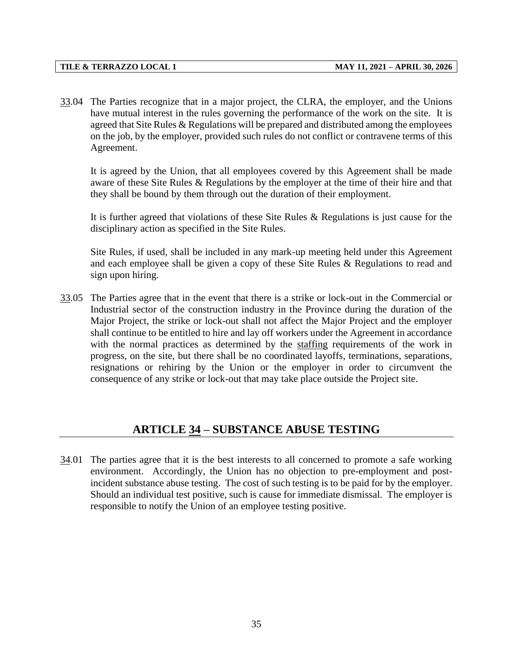33.04 The Parties recognize that in a major project, the CLRA, the employer, and the Unions have mutual interest in the rules governing the performance of the work on the site. It is agreed that Site Rules & Regulations will be prepared and distributed among the employees on the job, by the employer, provided such rules do not conflict or contravene terms of this Agreement.

It is agreed by the Union, that all employees covered by this Agreement shall be made aware of these Site Rules & Regulations by the employer at the time of their hire and that they shall be bound by them through out the duration of their employment.

It is further agreed that violations of these Site Rules & Regulations is just cause for the disciplinary action as specified in the Site Rules.

Site Rules, if used, shall be included in any mark-up meeting held under this Agreement and each employee shall be given a copy of these Site Rules & Regulations to read and sign upon hiring.

33.05 The Parties agree that in the event that there is a strike or lock-out in the Commercial or Industrial sector of the construction industry in the Province during the duration of the Major Project, the strike or lock-out shall not affect the Major Project and the employer shall continue to be entitled to hire and lay off workers under the Agreement in accordance with the normal practices as determined by the staffing requirements of the work in progress, on the site, but there shall be no coordinated layoffs, terminations, separations, resignations or rehiring by the Union or the employer in order to circumvent the consequence of any strike or lock-out that may take place outside the Project site.

# **ARTICLE 34 – SUBSTANCE ABUSE TESTING**

<span id="page-37-0"></span>34.01 The parties agree that it is the best interests to all concerned to promote a safe working environment. Accordingly, the Union has no objection to pre-employment and postincident substance abuse testing. The cost of such testing is to be paid for by the employer. Should an individual test positive, such is cause for immediate dismissal. The employer is responsible to notify the Union of an employee testing positive.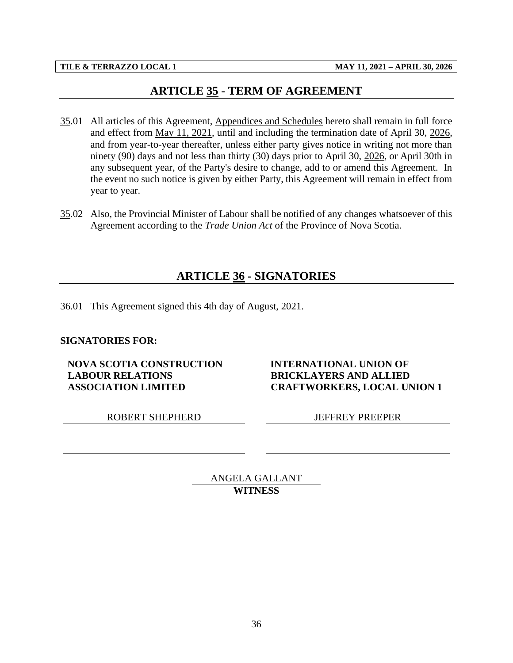# **ARTICLE 35 - TERM OF AGREEMENT**

- <span id="page-38-0"></span>35.01 All articles of this Agreement, Appendices and Schedules hereto shall remain in full force and effect from May 11, 2021, until and including the termination date of April 30, 2026, and from year-to-year thereafter, unless either party gives notice in writing not more than ninety (90) days and not less than thirty (30) days prior to April 30, 2026, or April 30th in any subsequent year, of the Party's desire to change, add to or amend this Agreement. In the event no such notice is given by either Party, this Agreement will remain in effect from year to year.
- <span id="page-38-1"></span>35.02 Also, the Provincial Minister of Labour shall be notified of any changes whatsoever of this Agreement according to the *Trade Union Act* of the Province of Nova Scotia.

# **ARTICLE 36 - SIGNATORIES**

36.01 This Agreement signed this 4th day of August, 2021.

## **SIGNATORIES FOR:**

**NOVA SCOTIA CONSTRUCTION LABOUR RELATIONS ASSOCIATION LIMITED**

ROBERT SHEPHERD JEFFREY PREEPER

**INTERNATIONAL UNION OF BRICKLAYERS AND ALLIED CRAFTWORKERS, LOCAL UNION 1**

ANGELA GALLANT **WITNESS**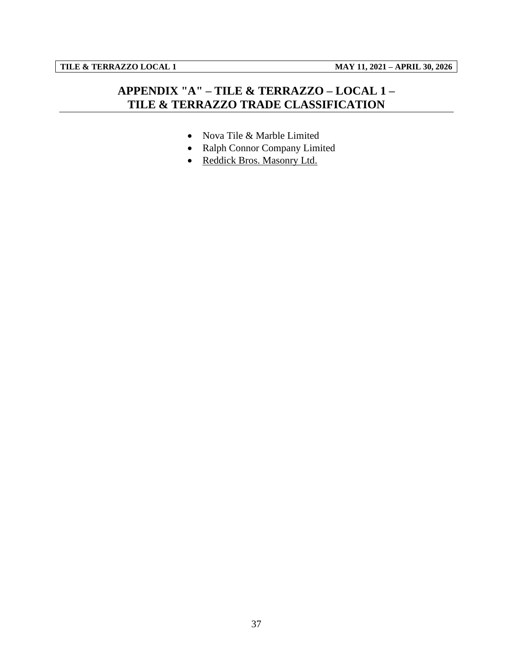# <span id="page-39-0"></span>**APPENDIX "A" – TILE & TERRAZZO – LOCAL 1 – TILE & TERRAZZO TRADE CLASSIFICATION**

- Nova Tile & Marble Limited
- Ralph Connor Company Limited
- Reddick Bros. Masonry Ltd.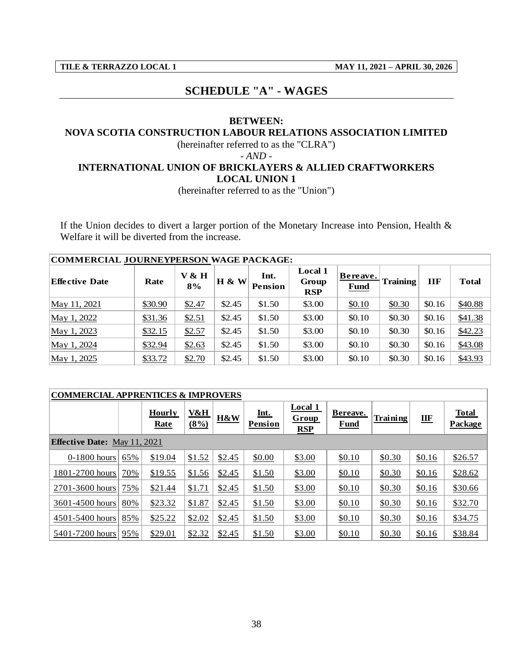<span id="page-40-0"></span>

# **SCHEDULE "A" - WAGES**

## **BETWEEN:**

## **NOVA SCOTIA CONSTRUCTION LABOUR RELATIONS ASSOCIATION LIMITED**

(hereinafter referred to as the "CLRA")

*- AND -*

## **INTERNATIONAL UNION OF BRICKLAYERS & ALLIED CRAFTWORKERS LOCAL UNION 1**

(hereinafter referred to as the "Union")

If the Union decides to divert a larger portion of the Monetary Increase into Pension, Health & Welfare it will be diverted from the increase.

| Welfare it will be diverted from the increase. |         |             |              |                 |                                       |                         |                 |            |              |  |  |  |
|------------------------------------------------|---------|-------------|--------------|-----------------|---------------------------------------|-------------------------|-----------------|------------|--------------|--|--|--|
| COMMERCIAL JOURNEYPERSON WAGE PACKAGE:         |         |             |              |                 |                                       |                         |                 |            |              |  |  |  |
| <b>Effective Date</b>                          | Rate    | V & H<br>8% | <b>H</b> & W | Int.<br>Pension | <b>Local 1</b><br>Group<br><b>RSP</b> | Bereave.<br><b>Fund</b> | <b>Training</b> | <b>IIF</b> | <b>Total</b> |  |  |  |
| May 11, 2021                                   | \$30.90 | \$2.47      | \$2.45       | \$1.50          | \$3.00                                | \$0.10                  | \$0.30          | \$0.16     | \$40.88      |  |  |  |
| May 1, 2022                                    | \$31.36 | \$2.51      | \$2.45       | \$1.50          | \$3.00                                | \$0.10                  | \$0.30          | \$0.16     | \$41.38      |  |  |  |
| May 1, 2023                                    | \$32.15 | \$2.57      | \$2.45       | \$1.50          | \$3.00                                | \$0.10                  | \$0.30          | \$0.16     | \$42.23      |  |  |  |
| May 1, 2024                                    | \$32.94 | \$2.63      | \$2.45       | \$1.50          | \$3.00                                | \$0.10                  | \$0.30          | \$0.16     | \$43.08      |  |  |  |
| May 1, 2025                                    | \$33.72 | \$2.70      | \$2.45       | \$1.50          | \$3.00                                | \$0.10                  | \$0.30          | \$0.16     | \$43.93      |  |  |  |

| COMMERCIAL APPRENTICES & IMPROVERS  |     |                              |             |                |                        |                                       |                         |          |                                  |                                |  |  |
|-------------------------------------|-----|------------------------------|-------------|----------------|------------------------|---------------------------------------|-------------------------|----------|----------------------------------|--------------------------------|--|--|
|                                     |     | <b>Hourly</b><br><b>Rate</b> | V&H<br>(8%) | <b>H&amp;W</b> | Int.<br><b>Pension</b> | <b>Local 1</b><br><b>Group</b><br>RSP | Bereave.<br><b>Fund</b> | Training | $\mathbf{I}\mathbf{I}\mathbf{F}$ | <b>Total</b><br><b>Package</b> |  |  |
| <b>Effective Date:</b> May 11, 2021 |     |                              |             |                |                        |                                       |                         |          |                                  |                                |  |  |
| 0-1800 hours                        | 65% | \$19.04                      | \$1.52      | \$2.45         | \$0.00                 | \$3.00                                | \$0.10                  | \$0.30   | \$0.16                           | \$26.57                        |  |  |
| 1801-2700 hours                     | 70% | \$19.55                      | \$1.56      | \$2.45         | \$1.50                 | \$3.00                                | \$0.10                  | \$0.30   | \$0.16                           | \$28.62                        |  |  |
| 2701-3600 hours                     | 75% | \$21.44                      | \$1.71      | \$2.45         | \$1.50                 | \$3.00                                | \$0.10                  | \$0.30   | \$0.16                           | \$30.66                        |  |  |
| 3601-4500 hours                     | 80% | \$23.32                      | \$1.87      | \$2.45         | \$1.50                 | \$3.00                                | \$0.10                  | \$0.30   | \$0.16                           | \$32.70                        |  |  |
| 4501-5400 hours                     | 85% | \$25.22                      | \$2.02      | \$2.45         | \$1.50                 | \$3.00                                | \$0.10                  | \$0.30   | \$0.16                           | \$34.75                        |  |  |
| 5401-7200 hours                     | 95% | \$29.01                      | \$2.32      | \$2.45         | \$1.50                 | \$3.00                                | \$0.10                  | \$0.30   | \$0.16                           | \$38.84                        |  |  |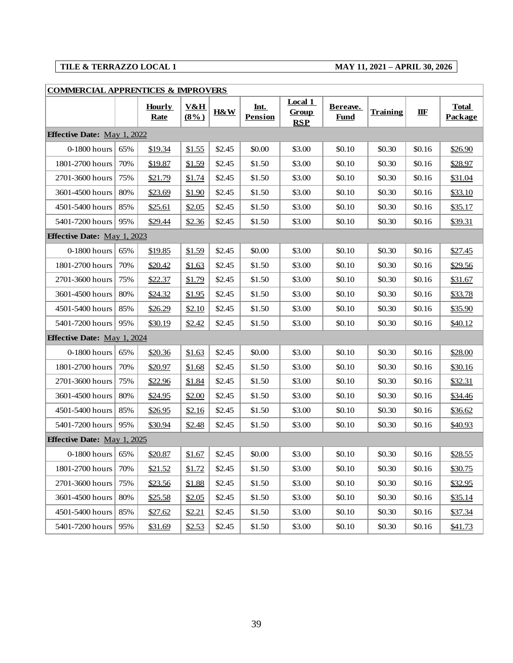| <b>COMMERCIAL APPRENTICES &amp; IMPROVERS</b> |     |                       |                           |        |                        |                                |                         |                 |              |                         |
|-----------------------------------------------|-----|-----------------------|---------------------------|--------|------------------------|--------------------------------|-------------------------|-----------------|--------------|-------------------------|
|                                               |     | <b>Hourly</b><br>Rate | <u>V&amp;H</u><br>$(8\%)$ | H&W    | Int.<br><b>Pension</b> | Local 1<br><b>Group</b><br>RSP | Bereave.<br><b>Fund</b> | <b>Training</b> | $\mathbf{H}$ | <b>Total</b><br>Package |
| <b>Effective Date:</b> May 1, 2022            |     |                       |                           |        |                        |                                |                         |                 |              |                         |
| $0-1800$ hours                                | 65% | \$19.34               | \$1.55                    | \$2.45 | \$0.00                 | \$3.00                         | \$0.10                  | \$0.30          | \$0.16       | \$26.90                 |
| 1801-2700 hours                               | 70% | \$19.87               | \$1.59                    | \$2.45 | \$1.50                 | \$3.00                         | \$0.10                  | \$0.30          | \$0.16       | \$28.97                 |
| 2701-3600 hours                               | 75% | \$21.79               | \$1.74                    | \$2.45 | \$1.50                 | \$3.00                         | \$0.10                  | \$0.30          | \$0.16       | \$31.04                 |
| 3601-4500 hours                               | 80% | \$23.69               | \$1.90                    | \$2.45 | \$1.50                 | \$3.00                         | \$0.10                  | \$0.30          | \$0.16       | \$33.10                 |
| 4501-5400 hours                               | 85% | \$25.61               | \$2.05                    | \$2.45 | \$1.50                 | \$3.00                         | \$0.10                  | \$0.30          | \$0.16       | \$35.17                 |
| 5401-7200 hours                               | 95% | \$29.44               | \$2.36                    | \$2.45 | \$1.50                 | \$3.00                         | \$0.10                  | \$0.30          | \$0.16       | \$39.31                 |
| <b>Effective Date:</b> May 1, 2023            |     |                       |                           |        |                        |                                |                         |                 |              |                         |
| $0-1800$ hours                                | 65% | \$19.85               | \$1.59                    | \$2.45 | \$0.00                 | \$3.00                         | \$0.10                  | \$0.30          | \$0.16       | \$27.45                 |
| 1801-2700 hours                               | 70% | \$20.42               | \$1.63                    | \$2.45 | \$1.50                 | \$3.00                         | \$0.10                  | \$0.30          | \$0.16       | <u>\$29.56</u>          |
| 2701-3600 hours                               | 75% | \$22.37               | \$1.79                    | \$2.45 | \$1.50                 | \$3.00                         | \$0.10                  | \$0.30          | \$0.16       | \$31.67                 |
| 3601-4500 hours                               | 80% | \$24.32               | \$1.95                    | \$2.45 | \$1.50                 | \$3.00                         | \$0.10                  | \$0.30          | \$0.16       | \$33.78                 |
| 4501-5400 hours                               | 85% | \$26.29               | \$2.10                    | \$2.45 | \$1.50                 | \$3.00                         | \$0.10                  | \$0.30          | \$0.16       | \$35.90                 |
| 5401-7200 hours                               | 95% | \$30.19               | \$2.42                    | \$2.45 | \$1.50                 | \$3.00                         | \$0.10                  | \$0.30          | \$0.16       | \$40.12                 |
| <b>Effective Date:</b> May 1, 2024            |     |                       |                           |        |                        |                                |                         |                 |              |                         |
| $0-1800$ hours                                | 65% | \$20.36               | \$1.63                    | \$2.45 | \$0.00                 | \$3.00                         | \$0.10                  | \$0.30          | \$0.16       | \$28.00                 |
| 1801-2700 hours                               | 70% | \$20.97               | \$1.68                    | \$2.45 | \$1.50                 | \$3.00                         | \$0.10                  | \$0.30          | \$0.16       | \$30.16                 |
| 2701-3600 hours                               | 75% | \$22.96               | \$1.84                    | \$2.45 | \$1.50                 | \$3.00                         | \$0.10                  | \$0.30          | \$0.16       | \$32.31                 |
| 3601-4500 hours                               | 80% | \$24.95               | \$2.00                    | \$2.45 | \$1.50                 | \$3.00                         | \$0.10                  | \$0.30          | \$0.16       | <u>\$34.46</u>          |
| 4501-5400 hours                               | 85% | <u>\$26.95</u>        | \$2.16                    | \$2.45 | \$1.50                 | \$3.00                         | \$0.10                  | \$0.30          | \$0.16       | \$36.62                 |
| 5401-7200 hours                               | 95% | \$30.94               | \$2.48                    | \$2.45 | \$1.50                 | \$3.00                         | \$0.10                  | \$0.30          | \$0.16       | \$40.93                 |
| <b>Effective Date:</b> May 1, 2025            |     |                       |                           |        |                        |                                |                         |                 |              |                         |
| 0-1800 hours                                  | 65% | \$20.87               | \$1.67                    | \$2.45 | \$0.00                 | \$3.00                         | \$0.10                  | \$0.30          | \$0.16       | \$28.55                 |
| 1801-2700 hours                               | 70% | \$21.52               | \$1.72                    | \$2.45 | \$1.50                 | \$3.00                         | \$0.10                  | \$0.30          | \$0.16       | \$30.75                 |
| 2701-3600 hours                               | 75% | \$23.56               | \$1.88                    | \$2.45 | \$1.50                 | \$3.00                         | \$0.10                  | \$0.30          | \$0.16       | \$32.95                 |
| 3601-4500 hours                               | 80% | \$25.58               | \$2.05                    | \$2.45 | \$1.50                 | \$3.00                         | \$0.10                  | \$0.30          | \$0.16       | \$35.14                 |
| 4501-5400 hours                               | 85% | \$27.62               | \$2.21                    | \$2.45 | \$1.50                 | \$3.00                         | \$0.10                  | \$0.30          | \$0.16       | \$37.34                 |
| 5401-7200 hours                               | 95% | \$31.69               | \$2.53                    | \$2.45 | \$1.50                 | \$3.00                         | \$0.10                  | \$0.30          | \$0.16       | \$41.73                 |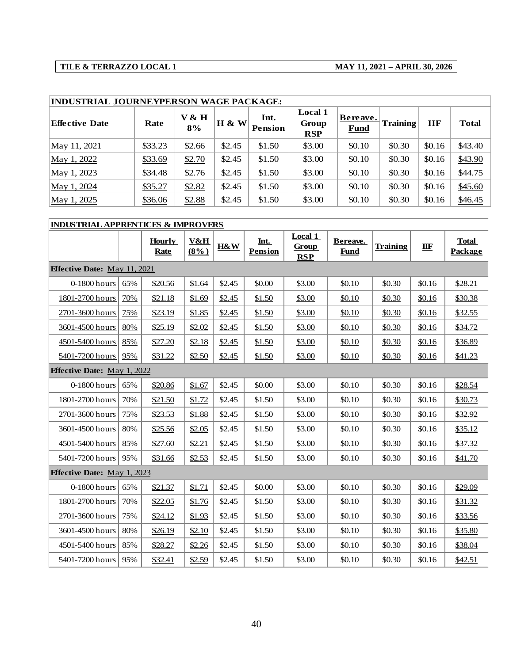| <b>INDUSTRIAL JOURNEYPERSON WAGE PACKAGE:</b> |         |             |          |                        |                                       |                         |                 |            |              |  |  |  |
|-----------------------------------------------|---------|-------------|----------|------------------------|---------------------------------------|-------------------------|-----------------|------------|--------------|--|--|--|
| Effective Date                                | Rate    | V & H<br>8% | $H \& W$ | Int.<br><b>Pension</b> | <b>Local 1</b><br>Group<br><b>RSP</b> | Bereave.<br><b>Fund</b> | <b>Training</b> | <b>IIF</b> | <b>Total</b> |  |  |  |
| May 11, 2021                                  | \$33.23 | \$2.66      | \$2.45   | \$1.50                 | \$3.00                                | \$0.10                  | \$0.30          | \$0.16     | \$43.40      |  |  |  |
| May 1, 2022                                   | \$33.69 | \$2.70      | \$2.45   | \$1.50                 | \$3.00                                | \$0.10                  | \$0.30          | \$0.16     | \$43.90      |  |  |  |
| May 1, 2023                                   | \$34.48 | \$2.76      | \$2.45   | \$1.50                 | \$3.00                                | \$0.10                  | \$0.30          | \$0.16     | \$44.75      |  |  |  |
| May 1, 2024                                   | \$35.27 | \$2.82      | \$2.45   | \$1.50                 | \$3.00                                | \$0.10                  | \$0.30          | \$0.16     | \$45.60      |  |  |  |
| May 1, 2025                                   | \$36.06 | \$2.88      | \$2.45   | \$1.50                 | \$3.00                                | \$0.10                  | \$0.30          | \$0.16     | \$46.45      |  |  |  |

| <b>INDUSTRIAL APPRENTICES &amp; IMPROVERS</b> |     |                              |                           |        |                        |                                       |                         |                 |              |                         |  |
|-----------------------------------------------|-----|------------------------------|---------------------------|--------|------------------------|---------------------------------------|-------------------------|-----------------|--------------|-------------------------|--|
|                                               |     | <b>Hourly</b><br><b>Rate</b> | <b>V&amp;H</b><br>$(8\%)$ | H&W    | Int.<br><b>Pension</b> | Local 1<br><b>Group</b><br><b>RSP</b> | Bereave.<br><b>Fund</b> | <b>Training</b> | $I\!I\!I\!F$ | <b>Total</b><br>Package |  |
| <b>Effective Date:</b> May 11, 2021           |     |                              |                           |        |                        |                                       |                         |                 |              |                         |  |
| 0-1800 hours                                  | 65% | \$20.56                      | \$1.64                    | \$2.45 | \$0.00                 | \$3.00                                | \$0.10                  | \$0.30          | \$0.16       | \$28.21                 |  |
| 1801-2700 hours                               | 70% | \$21.18                      | \$1.69                    | \$2.45 | \$1.50                 | \$3.00                                | \$0.10                  | \$0.30          | \$0.16       | \$30.38                 |  |
| 2701-3600 hours                               | 75% | \$23.19                      | \$1.85                    | \$2.45 | \$1.50                 | \$3.00                                | \$0.10                  | \$0.30          | \$0.16       | \$32.55                 |  |
| 3601-4500 hours                               | 80% | \$25.19                      | \$2.02                    | \$2.45 | \$1.50                 | \$3.00                                | \$0.10                  | \$0.30          | \$0.16       | \$34.72                 |  |
| 4501-5400 hours                               | 85% | \$27.20                      | \$2.18                    | \$2.45 | \$1.50                 | \$3.00                                | \$0.10                  | \$0.30          | \$0.16       | \$36.89                 |  |
| 5401-7200 hours                               | 95% | \$31.22                      | \$2.50                    | \$2.45 | \$1.50                 | \$3.00                                | \$0.10                  | \$0.30          | \$0.16       | \$41.23                 |  |
| <b>Effective Date:</b> May 1, 2022            |     |                              |                           |        |                        |                                       |                         |                 |              |                         |  |
| 0-1800 hours                                  | 65% | \$20.86                      | \$1.67                    | \$2.45 | \$0.00                 | \$3.00                                | \$0.10                  | \$0.30          | \$0.16       | \$28.54                 |  |
| 1801-2700 hours                               | 70% | \$21.50                      | \$1.72                    | \$2.45 | \$1.50                 | \$3.00                                | \$0.10                  | \$0.30          | \$0.16       | \$30.73                 |  |
| 2701-3600 hours                               | 75% | \$23.53                      | \$1.88                    | \$2.45 | \$1.50                 | \$3.00                                | \$0.10                  | \$0.30          | \$0.16       | \$32.92                 |  |
| 3601-4500 hours                               | 80% | \$25.56                      | \$2.05                    | \$2.45 | \$1.50                 | \$3.00                                | \$0.10                  | \$0.30          | \$0.16       | \$35.12                 |  |
| 4501-5400 hours                               | 85% | \$27.60                      | \$2.21                    | \$2.45 | \$1.50                 | \$3.00                                | \$0.10                  | \$0.30          | \$0.16       | \$37.32                 |  |
| 5401-7200 hours                               | 95% | \$31.66                      | \$2.53                    | \$2.45 | \$1.50                 | \$3.00                                | \$0.10                  | \$0.30          | \$0.16       | \$41.70                 |  |
| <b>Effective Date:</b> May 1, 2023            |     |                              |                           |        |                        |                                       |                         |                 |              |                         |  |
| 0-1800 hours                                  | 65% | \$21.37                      | \$1.71                    | \$2.45 | \$0.00                 | \$3.00                                | \$0.10                  | \$0.30          | \$0.16       | \$29.09                 |  |
| 1801-2700 hours                               | 70% | \$22.05                      | \$1.76                    | \$2.45 | \$1.50                 | \$3.00                                | \$0.10                  | \$0.30          | \$0.16       | \$31.32                 |  |
| 2701-3600 hours                               | 75% | \$24.12                      | \$1.93                    | \$2.45 | \$1.50                 | \$3.00                                | \$0.10                  | \$0.30          | \$0.16       | \$33.56                 |  |
| 3601-4500 hours                               | 80% | \$26.19                      | \$2.10                    | \$2.45 | \$1.50                 | \$3.00                                | \$0.10                  | \$0.30          | \$0.16       | \$35.80                 |  |
| 4501-5400 hours                               | 85% | \$28.27                      | \$2.26                    | \$2.45 | \$1.50                 | \$3.00                                | \$0.10                  | \$0.30          | \$0.16       | \$38.04                 |  |
| 5401-7200 hours                               | 95% | \$32.41                      | \$2.59                    | \$2.45 | \$1.50                 | \$3.00                                | \$0.10                  | \$0.30          | \$0.16       | \$42.51                 |  |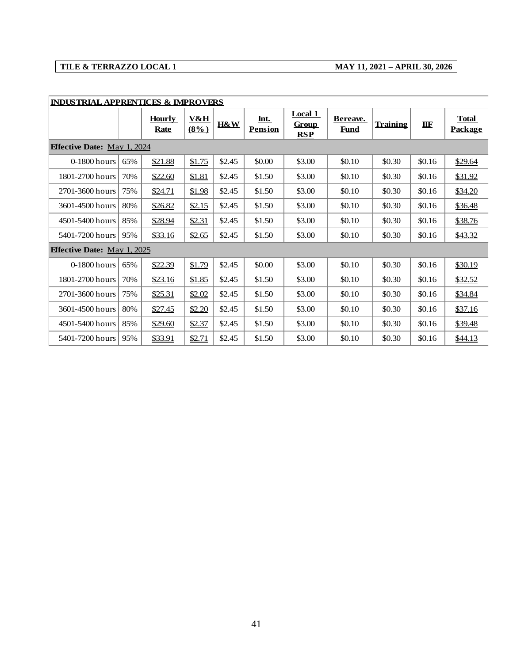| <b>INDUSTRIAL APPRENTICES &amp; IMPROVERS</b> |     | <b>Hourly</b><br><b>Rate</b> | <b>V&amp;H</b><br>$(8\%)$ | H&W    | Int.<br><b>Pension</b> | <b>Local 1</b><br>Group<br><b>RSP</b> | Bereave.<br><b>Fund</b> | <b>Training</b> | IIF    | <b>Total</b><br><b>Package</b> |
|-----------------------------------------------|-----|------------------------------|---------------------------|--------|------------------------|---------------------------------------|-------------------------|-----------------|--------|--------------------------------|
| <b>Effective Date: May 1, 2024</b>            |     |                              |                           |        |                        |                                       |                         |                 |        |                                |
| 0-1800 hours                                  | 65% | \$21.88                      | \$1.75                    | \$2.45 | \$0.00                 | \$3.00                                | \$0.10                  | \$0.30          | \$0.16 | \$29.64                        |
| 1801-2700 hours                               | 70% | \$22.60                      | \$1.81                    | \$2.45 | \$1.50                 | \$3.00                                | \$0.10                  | \$0.30          | \$0.16 | <u>\$31.92</u>                 |
| 2701-3600 hours                               | 75% | \$24.71                      | \$1.98                    | \$2.45 | \$1.50                 | \$3.00                                | \$0.10                  | \$0.30          | \$0.16 | <u>\$34.20</u>                 |
| 3601-4500 hours                               | 80% | \$26.82                      | \$2.15                    | \$2.45 | \$1.50                 | \$3.00                                | \$0.10                  | \$0.30          | \$0.16 | \$36.48                        |
| 4501-5400 hours                               | 85% | \$28.94                      | \$2.31                    | \$2.45 | \$1.50                 | \$3.00                                | \$0.10                  | \$0.30          | \$0.16 | \$38.76                        |
| 5401-7200 hours                               | 95% | \$33.16                      | \$2.65                    | \$2.45 | \$1.50                 | \$3.00                                | \$0.10                  | \$0.30          | \$0.16 | \$43.32                        |
| <b>Effective Date:</b> May 1, 2025            |     |                              |                           |        |                        |                                       |                         |                 |        |                                |
| $0-1800$ hours                                | 65% | \$22.39                      | \$1.79                    | \$2.45 | \$0.00                 | \$3.00                                | \$0.10                  | \$0.30          | \$0.16 | \$30.19                        |
| 1801-2700 hours                               | 70% | \$23.16                      | \$1.85                    | \$2.45 | \$1.50                 | \$3.00                                | \$0.10                  | \$0.30          | \$0.16 | \$32.52                        |
| 2701-3600 hours                               | 75% | \$25.31                      | \$2.02                    | \$2.45 | \$1.50                 | \$3.00                                | \$0.10                  | \$0.30          | \$0.16 | <u>\$34.84</u>                 |
| 3601-4500 hours                               | 80% | \$27.45                      | \$2.20                    | \$2.45 | \$1.50                 | \$3.00                                | \$0.10                  | \$0.30          | \$0.16 | \$37.16                        |
| 4501-5400 hours                               | 85% | \$29.60                      | \$2.37                    | \$2.45 | \$1.50                 | \$3.00                                | \$0.10                  | \$0.30          | \$0.16 | \$39.48                        |
| 5401-7200 hours                               | 95% | \$33.91                      | \$2.71                    | \$2.45 | \$1.50                 | \$3.00                                | \$0.10                  | \$0.30          | \$0.16 | \$44.13                        |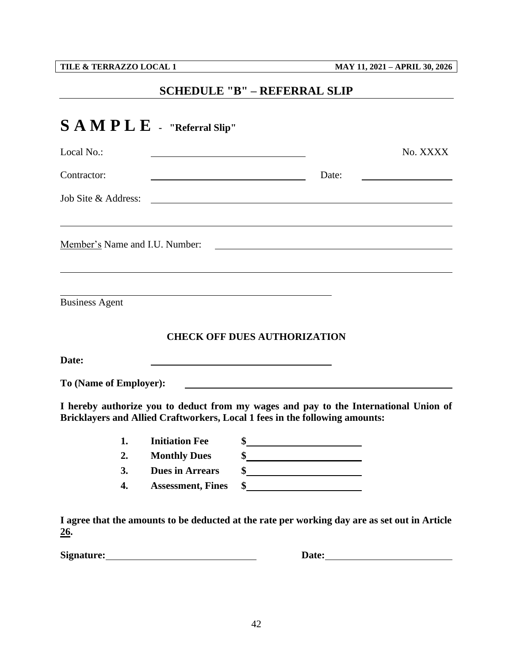<span id="page-44-0"></span>

# **SCHEDULE "B" – REFERRAL SLIP**

|                        | $\mathbf{S} \mathbf{A} \mathbf{M} \mathbf{P} \mathbf{L} \mathbf{E}$ - "Referral Slip"                                                                               |                                                                                                                        |       |                                                                                                                                                                                                                                |
|------------------------|---------------------------------------------------------------------------------------------------------------------------------------------------------------------|------------------------------------------------------------------------------------------------------------------------|-------|--------------------------------------------------------------------------------------------------------------------------------------------------------------------------------------------------------------------------------|
| Local No.:             |                                                                                                                                                                     |                                                                                                                        |       | No. XXXX                                                                                                                                                                                                                       |
| Contractor:            |                                                                                                                                                                     |                                                                                                                        | Date: |                                                                                                                                                                                                                                |
| Job Site & Address:    |                                                                                                                                                                     | <u> 1980 - Johann Stoff, deutscher Stoffen und der Stoffen und der Stoffen und der Stoffen und der Stoffen und der</u> |       |                                                                                                                                                                                                                                |
|                        | Member's Name and I.U. Number: 2008. [2016] Member 2016. [2016] Member's Name and I.U. Number:                                                                      |                                                                                                                        |       |                                                                                                                                                                                                                                |
| <b>Business Agent</b>  |                                                                                                                                                                     |                                                                                                                        |       |                                                                                                                                                                                                                                |
|                        |                                                                                                                                                                     | <b>CHECK OFF DUES AUTHORIZATION</b>                                                                                    |       |                                                                                                                                                                                                                                |
| Date:                  |                                                                                                                                                                     |                                                                                                                        |       |                                                                                                                                                                                                                                |
| To (Name of Employer): |                                                                                                                                                                     |                                                                                                                        |       |                                                                                                                                                                                                                                |
|                        | I hereby authorize you to deduct from my wages and pay to the International Union of<br>Bricklayers and Allied Craftworkers, Local 1 fees in the following amounts: |                                                                                                                        |       |                                                                                                                                                                                                                                |
| 1.                     | <b>Initiation Fee</b>                                                                                                                                               | \$                                                                                                                     |       |                                                                                                                                                                                                                                |
| 2.                     | <b>Monthly Dues</b>                                                                                                                                                 | $\frac{\text{S}}{\text{S}}$                                                                                            |       |                                                                                                                                                                                                                                |
| 3.                     | <b>Dues in Arrears</b>                                                                                                                                              |                                                                                                                        |       |                                                                                                                                                                                                                                |
| 4.                     | <b>Assessment, Fines</b>                                                                                                                                            | \$                                                                                                                     |       |                                                                                                                                                                                                                                |
| <u>26</u> .            | I agree that the amounts to be deducted at the rate per working day are as set out in Article                                                                       |                                                                                                                        |       |                                                                                                                                                                                                                                |
|                        |                                                                                                                                                                     |                                                                                                                        |       | Date: the contract of the contract of the contract of the contract of the contract of the contract of the contract of the contract of the contract of the contract of the contract of the contract of the contract of the cont |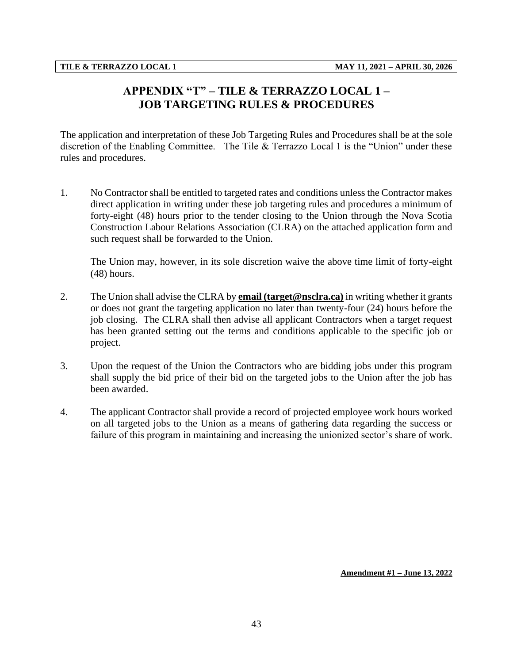# **APPENDIX "T" – TILE & TERRAZZO LOCAL 1 – JOB TARGETING RULES & PROCEDURES**

<span id="page-45-0"></span>The application and interpretation of these Job Targeting Rules and Procedures shall be at the sole discretion of the Enabling Committee. The Tile & Terrazzo Local 1 is the "Union" under these rules and procedures.

1. No Contractor shall be entitled to targeted rates and conditions unless the Contractor makes direct application in writing under these job targeting rules and procedures a minimum of forty-eight (48) hours prior to the tender closing to the Union through the Nova Scotia Construction Labour Relations Association (CLRA) on the attached application form and such request shall be forwarded to the Union.

The Union may, however, in its sole discretion waive the above time limit of forty-eight (48) hours.

- 2. The Union shall advise the CLRA by **email (target@nsclra.ca)** in writing whether it grants or does not grant the targeting application no later than twenty-four (24) hours before the job closing. The CLRA shall then advise all applicant Contractors when a target request has been granted setting out the terms and conditions applicable to the specific job or project.
- 3. Upon the request of the Union the Contractors who are bidding jobs under this program shall supply the bid price of their bid on the targeted jobs to the Union after the job has been awarded.
- 4. The applicant Contractor shall provide a record of projected employee work hours worked on all targeted jobs to the Union as a means of gathering data regarding the success or failure of this program in maintaining and increasing the unionized sector's share of work.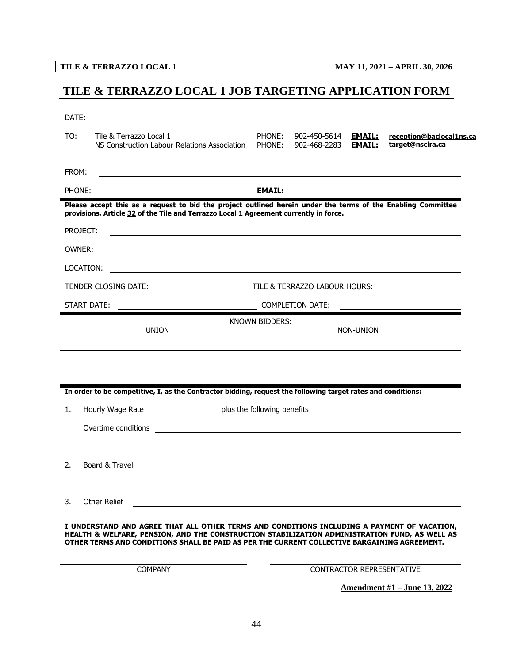# <span id="page-46-0"></span>**TILE & TERRAZZO LOCAL 1 JOB TARGETING APPLICATION FORM**

| DATE:  | <u> 1989 - Johann Stoff, deutscher Stoffen und der Stoffen und der Stoffen und der Stoffen und der Stoffen und der</u>                                                                                                                                                                       |                       |                              |                                |                                              |
|--------|----------------------------------------------------------------------------------------------------------------------------------------------------------------------------------------------------------------------------------------------------------------------------------------------|-----------------------|------------------------------|--------------------------------|----------------------------------------------|
| TO:    | Tile & Terrazzo Local 1<br>NS Construction Labour Relations Association                                                                                                                                                                                                                      | PHONE:<br>PHONE:      | 902-450-5614<br>902-468-2283 | <u>EMAIL:</u><br><b>EMAIL:</b> | reception@baclocal1ns.ca<br>target@nsclra.ca |
| FROM:  |                                                                                                                                                                                                                                                                                              |                       |                              |                                |                                              |
| PHONE: |                                                                                                                                                                                                                                                                                              | <b>EMAIL:</b>         |                              |                                |                                              |
|        | Please accept this as a request to bid the project outlined herein under the terms of the Enabling Committee<br>provisions, Article 32 of the Tile and Terrazzo Local 1 Agreement currently in force.                                                                                        |                       |                              |                                |                                              |
|        | PROJECT:<br>,我们也不会有一个人的人,我们也不会有一个人的人,我们也不会有一个人的人。""我们,我们也不会有一个人的人,我们也不会有一个人的人。""我们,我们也不会有一个人                                                                                                                                                                                                 |                       |                              |                                |                                              |
|        | OWNER:                                                                                                                                                                                                                                                                                       |                       |                              |                                |                                              |
|        | LOCATION:<br>,我们也不能在这里的时候,我们也不能在这里的时候,我们也不能会在这里的时候,我们也不能会在这里的时候,我们也不能会在这里的时候,我们也不能会在这里的时候,我们也                                                                                                                                                                                                |                       |                              |                                |                                              |
|        |                                                                                                                                                                                                                                                                                              |                       |                              |                                |                                              |
|        | START DATE:                                                                                                                                                                                                                                                                                  |                       | <b>COMPLETION DATE:</b>      |                                |                                              |
|        | <b>UNION</b>                                                                                                                                                                                                                                                                                 | <b>KNOWN BIDDERS:</b> |                              | NON-UNION                      |                                              |
|        |                                                                                                                                                                                                                                                                                              |                       |                              |                                |                                              |
|        |                                                                                                                                                                                                                                                                                              |                       |                              |                                |                                              |
|        | In order to be competitive, I, as the Contractor bidding, request the following target rates and conditions:                                                                                                                                                                                 |                       |                              |                                |                                              |
| 1.     | plus the following benefits<br>Hourly Wage Rate                                                                                                                                                                                                                                              |                       |                              |                                |                                              |
|        | Overtime conditions<br><u> 1989 - Johann Harry Harry Harry Harry Harry Harry Harry Harry Harry Harry Harry Harry Harry Harry Harry Harry</u>                                                                                                                                                 |                       |                              |                                |                                              |
|        |                                                                                                                                                                                                                                                                                              |                       |                              |                                |                                              |
| 2.     | Board & Travel                                                                                                                                                                                                                                                                               |                       |                              |                                |                                              |
|        |                                                                                                                                                                                                                                                                                              |                       |                              |                                |                                              |
| 3.     | Other Relief                                                                                                                                                                                                                                                                                 |                       |                              |                                |                                              |
|        | I UNDERSTAND AND AGREE THAT ALL OTHER TERMS AND CONDITIONS INCLUDING A PAYMENT OF VACATION,<br>HEALTH & WELFARE, PENSION, AND THE CONSTRUCTION STABILIZATION ADMINISTRATION FUND, AS WELL AS<br>OTHER TERMS AND CONDITIONS SHALL BE PAID AS PER THE CURRENT COLLECTIVE BARGAINING AGREEMENT. |                       |                              |                                |                                              |
|        | <b>COMPANY</b>                                                                                                                                                                                                                                                                               |                       |                              |                                | CONTRACTOR REPRESENTATIVE                    |